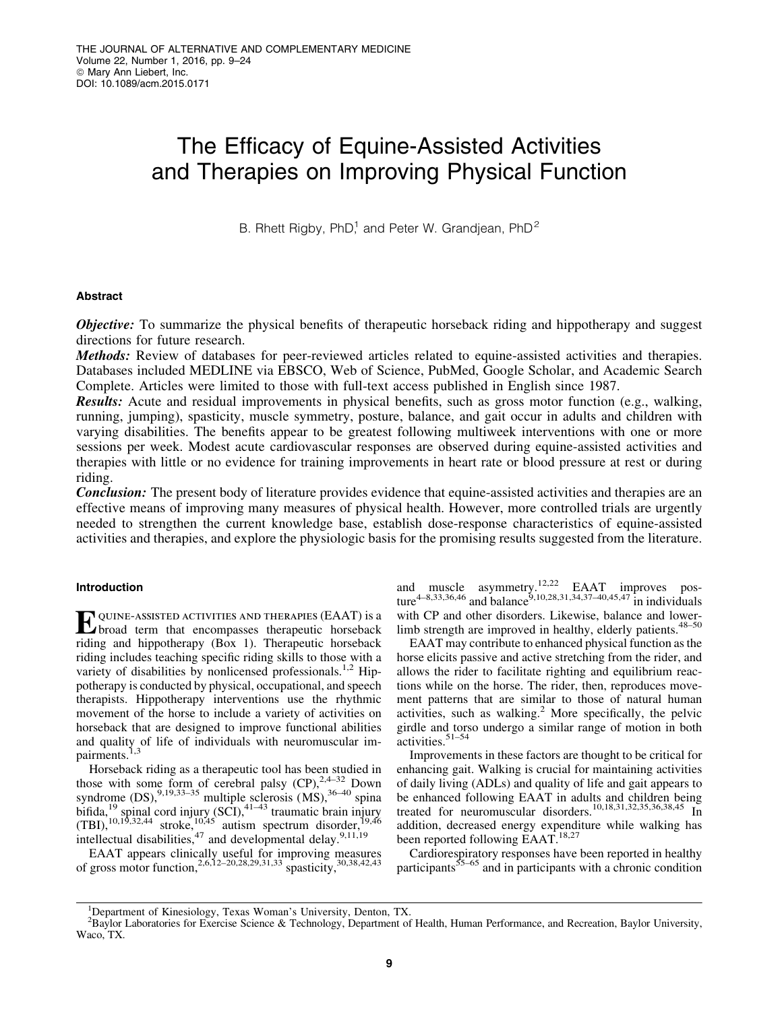# The Efficacy of Equine-Assisted Activities and Therapies on Improving Physical Function

B. Rhett Rigby, PhD<sup>1</sup> and Peter W. Grandjean, PhD<sup>2</sup>

## Abstract

**Objective:** To summarize the physical benefits of therapeutic horseback riding and hippotherapy and suggest directions for future research.

Methods: Review of databases for peer-reviewed articles related to equine-assisted activities and therapies. Databases included MEDLINE via EBSCO, Web of Science, PubMed, Google Scholar, and Academic Search Complete. Articles were limited to those with full-text access published in English since 1987.

Results: Acute and residual improvements in physical benefits, such as gross motor function (e.g., walking, running, jumping), spasticity, muscle symmetry, posture, balance, and gait occur in adults and children with varying disabilities. The benefits appear to be greatest following multiweek interventions with one or more sessions per week. Modest acute cardiovascular responses are observed during equine-assisted activities and therapies with little or no evidence for training improvements in heart rate or blood pressure at rest or during riding.

**Conclusion:** The present body of literature provides evidence that equine-assisted activities and therapies are an effective means of improving many measures of physical health. However, more controlled trials are urgently needed to strengthen the current knowledge base, establish dose-response characteristics of equine-assisted activities and therapies, and explore the physiologic basis for the promising results suggested from the literature.

## Introduction

Equine-assisted activities and therapies (EAAT) is a broad term that encompasses therapeutic horseback riding and hippotherapy (Box 1). Therapeutic horseback riding includes teaching specific riding skills to those with a variety of disabilities by nonlicensed professionals.<sup>1,2</sup> Hippotherapy is conducted by physical, occupational, and speech therapists. Hippotherapy interventions use the rhythmic movement of the horse to include a variety of activities on horseback that are designed to improve functional abilities and quality of life of individuals with neuromuscular impairments.<sup>1,3</sup>

Horseback riding as a therapeutic tool has been studied in those with some form of cerebral palsy  $(CP)$ ,<sup>2,4–32</sup> Down syndrome  $(DS)$ , <sup>9,19,33–35</sup> multiple sclerosis  $(MS)$ , <sup>36–40</sup> spina bifida, $^{19}$  spinal cord injury (SCI), $^{41-43}$  traumatic brain injury  $(TBI)$ ,<sup>10,19,32,44</sup> stroke,<sup>10,45</sup> autism spectrum disorder,<sup>19,46</sup> intellectual disabilities,<sup>47</sup> and developmental delay.<sup>9,11,19</sup>

EAAT appears clinically useful for improving measures of gross motor function,  $^{2,6,12-20,28,29,31,33}$  spasticity,  $^{30,38,42,43}$ 

and muscle asymmetry.<sup>12,22</sup> EAAT improves posture<sup>4–8,33,36,46</sup> and balance<sup>9,10,28,31,34,37–40,45,47</sup> in individuals with CP and other disorders. Likewise, balance and lowerlimb strength are improved in healthy, elderly patients.<sup>48-50</sup>

EAAT may contribute to enhanced physical function as the horse elicits passive and active stretching from the rider, and allows the rider to facilitate righting and equilibrium reactions while on the horse. The rider, then, reproduces movement patterns that are similar to those of natural human activities, such as walking.<sup>2</sup> More specifically, the pelvic girdle and torso undergo a similar range of motion in both  $\arctivities.$ <sup>51–54</sup>

Improvements in these factors are thought to be critical for enhancing gait. Walking is crucial for maintaining activities of daily living (ADLs) and quality of life and gait appears to be enhanced following EAAT in adults and children being treated for neuromuscular disorders.10,18,31,32,35,36,38,45 In addition, decreased energy expenditure while walking has been reported following EAAT.<sup>18,27</sup>

Cardiorespiratory responses have been reported in healthy participants $55-65$  and in participants with a chronic condition

<sup>1</sup> Department of Kinesiology, Texas Woman's University, Denton, TX.

<sup>&</sup>lt;sup>2</sup>Baylor Laboratories for Exercise Science & Technology, Department of Health, Human Performance, and Recreation, Baylor University, Waco, TX.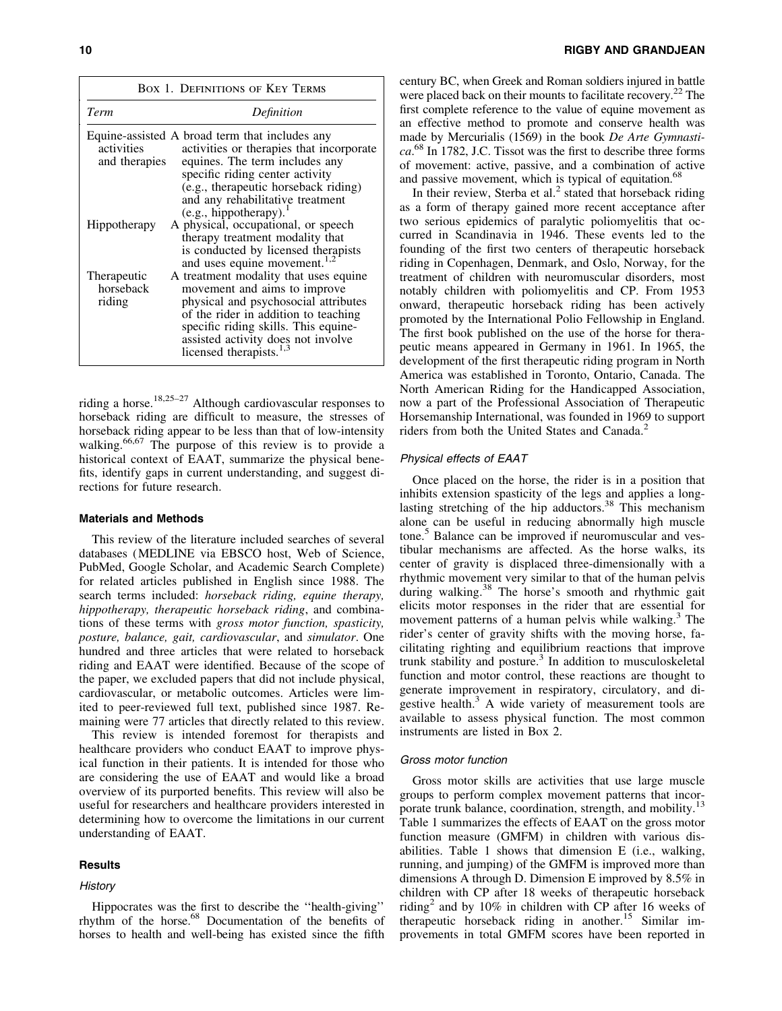|                                    | <b>BOX 1. DEFINITIONS OF KEY TERMS</b>                                                                                                                                                                                                                                     |
|------------------------------------|----------------------------------------------------------------------------------------------------------------------------------------------------------------------------------------------------------------------------------------------------------------------------|
| Term                               | Definition                                                                                                                                                                                                                                                                 |
| activities<br>and therapies        | Equine-assisted A broad term that includes any<br>activities or therapies that incorporate<br>equines. The term includes any<br>specific riding center activity<br>(e.g., therapeutic horseback riding)<br>and any rehabilitative treatment<br>(e.g., hippotherapy).       |
| Hippotherapy                       | A physical, occupational, or speech<br>therapy treatment modality that<br>is conducted by licensed therapists<br>and uses equine movement. <sup>1,2</sup>                                                                                                                  |
| Therapeutic<br>horseback<br>riding | A treatment modality that uses equine<br>movement and aims to improve<br>physical and psychosocial attributes<br>of the rider in addition to teaching<br>specific riding skills. This equine-<br>assisted activity does not involve<br>licensed therapists. <sup>1,3</sup> |

riding a horse.<sup>18,25–27</sup> Although cardiovascular responses to horseback riding are difficult to measure, the stresses of horseback riding appear to be less than that of low-intensity walking.<sup>66,67</sup> The purpose of this review is to provide a historical context of EAAT, summarize the physical benefits, identify gaps in current understanding, and suggest directions for future research.

## Materials and Methods

This review of the literature included searches of several databases (MEDLINE via EBSCO host, Web of Science, PubMed, Google Scholar, and Academic Search Complete) for related articles published in English since 1988. The search terms included: *horseback riding, equine therapy, hippotherapy, therapeutic horseback riding*, and combinations of these terms with *gross motor function, spasticity, posture, balance, gait, cardiovascular*, and *simulator*. One hundred and three articles that were related to horseback riding and EAAT were identified. Because of the scope of the paper, we excluded papers that did not include physical, cardiovascular, or metabolic outcomes. Articles were limited to peer-reviewed full text, published since 1987. Remaining were 77 articles that directly related to this review.

This review is intended foremost for therapists and healthcare providers who conduct EAAT to improve physical function in their patients. It is intended for those who are considering the use of EAAT and would like a broad overview of its purported benefits. This review will also be useful for researchers and healthcare providers interested in determining how to overcome the limitations in our current understanding of EAAT.

#### **Results**

## **History**

Hippocrates was the first to describe the ''health-giving'' rhythm of the horse.<sup>68</sup> Documentation of the benefits of horses to health and well-being has existed since the fifth century BC, when Greek and Roman soldiers injured in battle were placed back on their mounts to facilitate recovery.<sup>22</sup> The first complete reference to the value of equine movement as an effective method to promote and conserve health was made by Mercurialis (1569) in the book *De Arte Gymnastica*. <sup>68</sup> In 1782, J.C. Tissot was the first to describe three forms of movement: active, passive, and a combination of active and passive movement, which is typical of equitation.<sup>68</sup>

In their review, Sterba et al. $<sup>2</sup>$  stated that horseback riding</sup> as a form of therapy gained more recent acceptance after two serious epidemics of paralytic poliomyelitis that occurred in Scandinavia in 1946. These events led to the founding of the first two centers of therapeutic horseback riding in Copenhagen, Denmark, and Oslo, Norway, for the treatment of children with neuromuscular disorders, most notably children with poliomyelitis and CP. From 1953 onward, therapeutic horseback riding has been actively promoted by the International Polio Fellowship in England. The first book published on the use of the horse for therapeutic means appeared in Germany in 1961. In 1965, the development of the first therapeutic riding program in North America was established in Toronto, Ontario, Canada. The North American Riding for the Handicapped Association, now a part of the Professional Association of Therapeutic Horsemanship International, was founded in 1969 to support riders from both the United States and Canada.<sup>2</sup>

## Physical effects of EAAT

Once placed on the horse, the rider is in a position that inhibits extension spasticity of the legs and applies a longlasting stretching of the hip adductors. $38$  This mechanism alone can be useful in reducing abnormally high muscle tone.<sup>5</sup> Balance can be improved if neuromuscular and vestibular mechanisms are affected. As the horse walks, its center of gravity is displaced three-dimensionally with a rhythmic movement very similar to that of the human pelvis during walking.<sup>38</sup> The horse's smooth and rhythmic gait elicits motor responses in the rider that are essential for movement patterns of a human pelvis while walking.<sup>3</sup> The rider's center of gravity shifts with the moving horse, facilitating righting and equilibrium reactions that improve trunk stability and posture. $3$  In addition to musculoskeletal function and motor control, these reactions are thought to generate improvement in respiratory, circulatory, and digestive health.<sup>3</sup> A wide variety of measurement tools are available to assess physical function. The most common instruments are listed in Box 2.

#### Gross motor function

Gross motor skills are activities that use large muscle groups to perform complex movement patterns that incorporate trunk balance, coordination, strength, and mobility.<sup>13</sup> Table 1 summarizes the effects of EAAT on the gross motor function measure (GMFM) in children with various disabilities. Table 1 shows that dimension E (i.e., walking, running, and jumping) of the GMFM is improved more than dimensions A through D. Dimension E improved by 8.5% in children with CP after 18 weeks of therapeutic horseback riding<sup>2</sup> and by 10% in children with CP after 16 weeks of therapeutic horseback riding in another.<sup>15</sup> Similar improvements in total GMFM scores have been reported in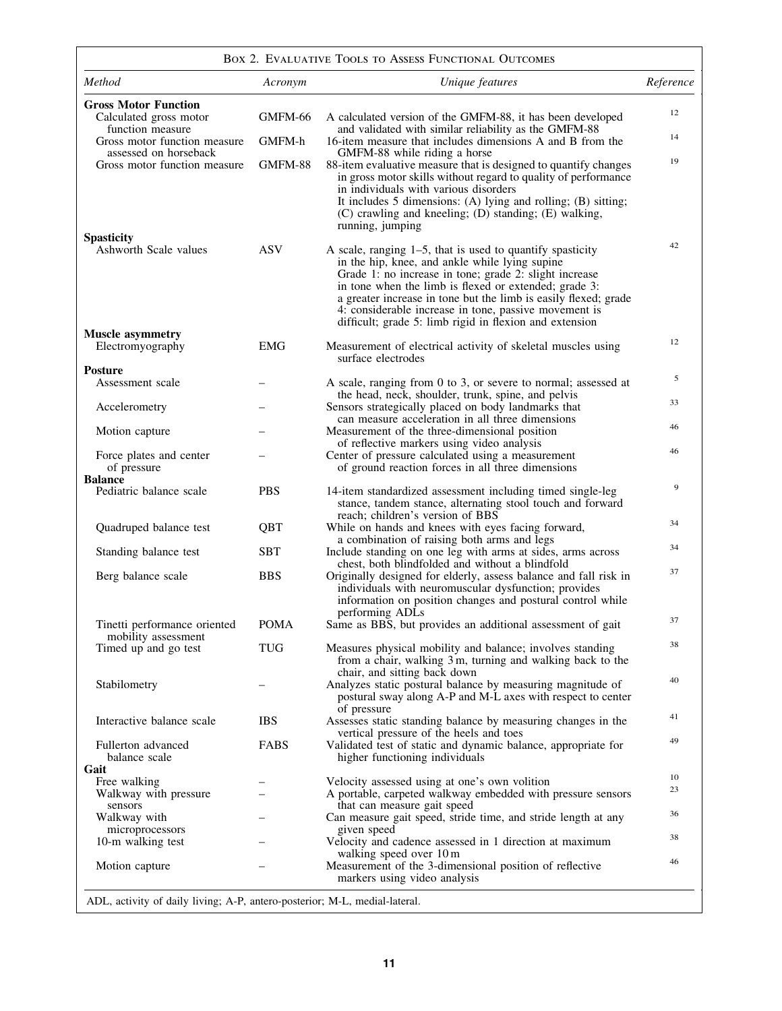| <b>BOX 2. EVALUATIVE TOOLS TO ASSESS FUNCTIONAL OUTCOMES</b> |  |  |
|--------------------------------------------------------------|--|--|
|                                                              |  |  |

| Method                                                                    | Acronym     | Unique features                                                                                                                                                                                                                                                                                                                                                                                                          | Reference |
|---------------------------------------------------------------------------|-------------|--------------------------------------------------------------------------------------------------------------------------------------------------------------------------------------------------------------------------------------------------------------------------------------------------------------------------------------------------------------------------------------------------------------------------|-----------|
| <b>Gross Motor Function</b><br>Calculated gross motor<br>function measure | GMFM-66     | A calculated version of the GMFM-88, it has been developed                                                                                                                                                                                                                                                                                                                                                               | 12        |
| Gross motor function measure                                              | GMFM-h      | and validated with similar reliability as the GMFM-88<br>16-item measure that includes dimensions A and B from the                                                                                                                                                                                                                                                                                                       | 14        |
| assessed on horseback<br>Gross motor function measure                     | GMFM-88     | GMFM-88 while riding a horse<br>88-item evaluative measure that is designed to quantify changes<br>in gross motor skills without regard to quality of performance<br>in individuals with various disorders<br>It includes 5 dimensions: (A) lying and rolling; (B) sitting;<br>(C) crawling and kneeling; (D) standing; (E) walking,<br>running, jumping                                                                 | 19        |
| <b>Spasticity</b><br>Ashworth Scale values                                | <b>ASV</b>  | A scale, ranging $1-5$ , that is used to quantify spasticity<br>in the hip, knee, and ankle while lying supine<br>Grade 1: no increase in tone; grade 2: slight increase<br>in tone when the limb is flexed or extended; grade 3:<br>a greater increase in tone but the limb is easily flexed; grade<br>4: considerable increase in tone, passive movement is<br>difficult; grade 5: limb rigid in flexion and extension | 42        |
| <b>Muscle asymmetry</b><br>Electromyography                               | <b>EMG</b>  | Measurement of electrical activity of skeletal muscles using<br>surface electrodes                                                                                                                                                                                                                                                                                                                                       | 12        |
| <b>Posture</b>                                                            |             |                                                                                                                                                                                                                                                                                                                                                                                                                          | 5         |
| Assessment scale                                                          |             | A scale, ranging from 0 to 3, or severe to normal; assessed at<br>the head, neck, shoulder, trunk, spine, and pelvis                                                                                                                                                                                                                                                                                                     |           |
| Accelerometry                                                             |             | Sensors strategically placed on body landmarks that<br>can measure acceleration in all three dimensions                                                                                                                                                                                                                                                                                                                  | 33        |
| Motion capture                                                            |             | Measurement of the three-dimensional position<br>of reflective markers using video analysis                                                                                                                                                                                                                                                                                                                              | 46        |
| Force plates and center<br>of pressure                                    |             | Center of pressure calculated using a measurement<br>of ground reaction forces in all three dimensions                                                                                                                                                                                                                                                                                                                   | 46        |
| <b>Balance</b><br>Pediatric balance scale                                 | <b>PBS</b>  | 14-item standardized assessment including timed single-leg<br>stance, tandem stance, alternating stool touch and forward<br>reach; children's version of BBS                                                                                                                                                                                                                                                             | 9         |
| Quadruped balance test                                                    | QBT         | While on hands and knees with eyes facing forward,                                                                                                                                                                                                                                                                                                                                                                       | 34        |
| Standing balance test                                                     | <b>SBT</b>  | a combination of raising both arms and legs<br>Include standing on one leg with arms at sides, arms across                                                                                                                                                                                                                                                                                                               | 34        |
| Berg balance scale                                                        | <b>BBS</b>  | chest, both blindfolded and without a blindfold<br>Originally designed for elderly, assess balance and fall risk in<br>individuals with neuromuscular dysfunction; provides<br>information on position changes and postural control while<br>performing ADLs                                                                                                                                                             | 37        |
| Tinetti performance oriented                                              | <b>POMA</b> | Same as BBS, but provides an additional assessment of gait                                                                                                                                                                                                                                                                                                                                                               | 37        |
| mobility assessment<br>Timed up and go test                               | <b>TUG</b>  | Measures physical mobility and balance; involves standing<br>from a chair, walking 3 m, turning and walking back to the<br>chair, and sitting back down                                                                                                                                                                                                                                                                  | 38        |
| Stabilometry                                                              |             | Analyzes static postural balance by measuring magnitude of<br>postural sway along A-P and M-L axes with respect to center<br>of pressure                                                                                                                                                                                                                                                                                 | 40        |
| Interactive balance scale                                                 | <b>IBS</b>  | Assesses static standing balance by measuring changes in the                                                                                                                                                                                                                                                                                                                                                             | 41        |
| Fullerton advanced<br>balance scale                                       | FABS        | vertical pressure of the heels and toes<br>Validated test of static and dynamic balance, appropriate for<br>higher functioning individuals                                                                                                                                                                                                                                                                               | 49        |
| Gait<br>Free walking                                                      |             | Velocity assessed using at one's own volition                                                                                                                                                                                                                                                                                                                                                                            | 10        |
| Walkway with pressure<br>sensors                                          |             | A portable, carpeted walkway embedded with pressure sensors<br>that can measure gait speed                                                                                                                                                                                                                                                                                                                               | 23        |
| Walkway with                                                              |             | Can measure gait speed, stride time, and stride length at any                                                                                                                                                                                                                                                                                                                                                            | 36        |
| microprocessors<br>10-m walking test                                      |             | given speed<br>Velocity and cadence assessed in 1 direction at maximum                                                                                                                                                                                                                                                                                                                                                   | 38        |
| Motion capture                                                            |             | walking speed over 10 m<br>Measurement of the 3-dimensional position of reflective<br>markers using video analysis                                                                                                                                                                                                                                                                                                       | 46        |

ADL, activity of daily living; A-P, antero-posterior; M-L, medial-lateral.

 $\mathsf{L}$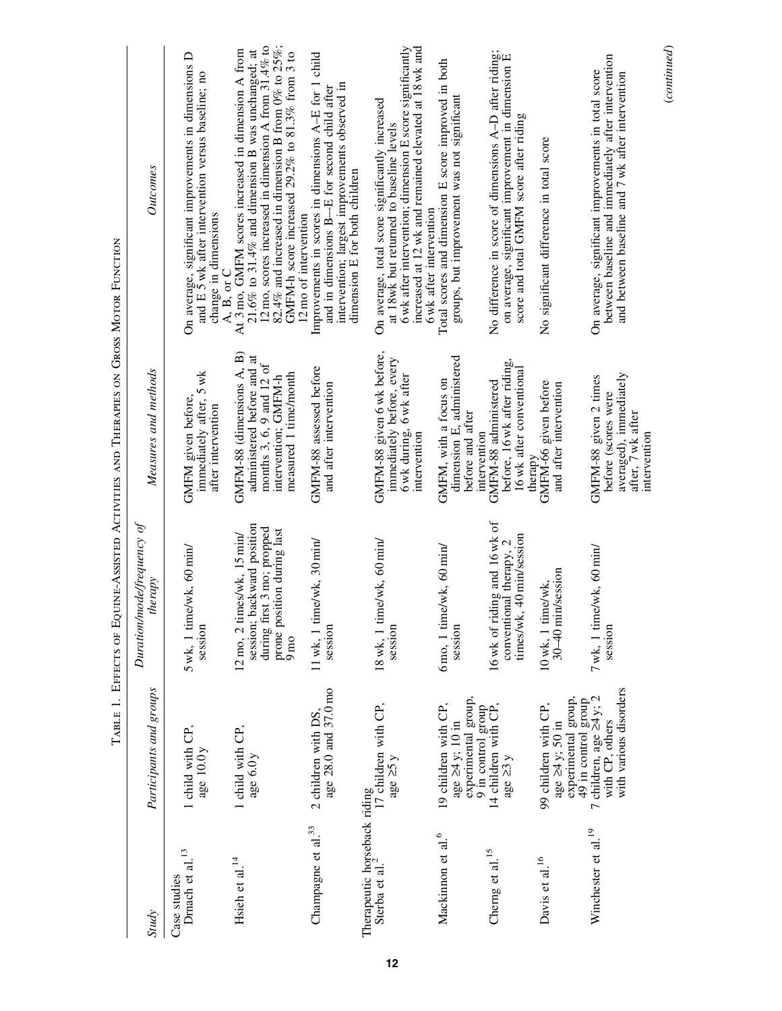|                                                                                 |                                                                                       | Duration/mode/frequency of                                                                                                                                             | TABLE 1. EFFECTS OF EQUINE-ASSISTED ACTIVITIES AND THERAPIES ON GROSS MOTOR FUNCTION                                                 |                                                                                                                                                                                                                                                                                                  |
|---------------------------------------------------------------------------------|---------------------------------------------------------------------------------------|------------------------------------------------------------------------------------------------------------------------------------------------------------------------|--------------------------------------------------------------------------------------------------------------------------------------|--------------------------------------------------------------------------------------------------------------------------------------------------------------------------------------------------------------------------------------------------------------------------------------------------|
| <b>Study</b>                                                                    | Participants and groups                                                               | therapy                                                                                                                                                                | Measures and methods                                                                                                                 | <b>Outcomes</b>                                                                                                                                                                                                                                                                                  |
| Dmach et al. $^{13}$<br>Case studies                                            | 1 child with CP,<br>age 10.0 y                                                        | 5 wk, 1 time/wk, 60 min/<br>session                                                                                                                                    | immediately after, 5 wk<br>GMFM given before,<br>after intervention                                                                  | On average, significant improvements in dimensions $D$ and $E$ 5 wk after intervention versus baseline; no<br>change in dimensions<br>A, B, or C                                                                                                                                                 |
| Hsieh et al. $^{14}$                                                            | 1 child with CP,<br>age 6.0y                                                          | session; backward position<br>during first 3 mo; propped<br>prone position during last<br>$12 \text{ mo}$ , $2 \text{ times/wk}$ , $15 \text{ min}/$<br>$9 \text{ mo}$ | GMFM-88 (dimensions A, B)<br>administered before and at<br>months 3, 6, 9 and 12 of<br>measured 1 time/month<br>intervention; GMFM-h | 12 mo, scores increased in dimension A from 31.4% to<br>82.4% and increased in dimension B from 0% to 25%;<br>At 3 mo, GMFM scores increased in dimension A from<br>21.6% to 31.4% and dimension B was unchanged; at<br>GMFM-h score increased 29.2% to 81.3% from 3 to<br>12 mo of intervention |
| Champagne et al. <sup>33</sup>                                                  | age 28.0 and 37.0 mo<br>2 children with DS,                                           | $11$ wk, 1 time/wk, 30 min/<br>session                                                                                                                                 | GMFM-88 assessed before<br>and after intervention                                                                                    | Improvements in scores in dimensions $A-E$ for 1 child<br>intervention; largest improvements observed in<br>and in dimensions B--E for second child after<br>dimension E for both children                                                                                                       |
| Therapeutic horseback riding<br>Sterba et al. <sup>2</sup> 17 children with CP, | age $\geq 5y$                                                                         | $18$ wk, 1 time/wk, 60 min/<br>session                                                                                                                                 | GMFM-88 given 6 wk before,<br>immediately before, every<br>6 wk during, 6 wk after<br>intervention                                   | increased at 12 wk and remained elevated at 18 wk and<br>6 wk after intervention; dimension E score significantly<br>On average, total score significantly increased<br>at 18wk but returned to baseline levels<br>6 wk after intervention                                                       |
| Mackinnon et al. <sup>6</sup>                                                   | experimental group,<br>19 children with CP,<br>age $\geq 4$ y; 10 in                  | $6 \text{mo}$ , 1 time/wk, $60 \text{min}$<br>session                                                                                                                  | dimension E, administered<br>GMFM, with a focus on<br>before and after<br>intervention                                               | Total scores and dimension E score improved in both<br>groups, but improvement was not significant                                                                                                                                                                                               |
| Cherng et al. <sup>15</sup>                                                     | 9 in control group<br>14 children with $CP$ ,<br>age $\geq 3$ y                       | 16 wk of riding and 16 wk of<br>40 min/session<br>conventional therapy, 2<br>times/wk,                                                                                 | before, 16 wk after riding,<br>16 wk after conventional<br>GMFM-88 administered<br>therapy                                           | No difference in score of dimensions A–D after riding;<br>on average, significant improvement in dimension E<br>score and total GMFM score after riding                                                                                                                                          |
| Davis et al. <sup>16</sup>                                                      | experimental group,<br>49 in control group<br>99 children with CP,<br>age ≥4 y; 50 in | session<br>10 wk, 1 time/wk,<br>$30-40$ min.                                                                                                                           | GMFM-66 given before<br>and after intervention                                                                                       | No significant difference in total score                                                                                                                                                                                                                                                         |
| Winchester et al. <sup>19</sup>                                                 | with various disorders<br>7 children, age $\geq 4$ y; 2<br>with CP, others            | $7$ wk, 1 time/wk, 60 min/<br>session                                                                                                                                  | averaged), immediately<br>after, 7 wk after<br>GMFM-88 given 2 times<br>before (scores were<br>intervention                          | between baseline and immediately after intervention<br>On average, significant improvements in total score<br>and between baseline and 7 wk after intervention                                                                                                                                   |
|                                                                                 |                                                                                       |                                                                                                                                                                        |                                                                                                                                      | (continued)                                                                                                                                                                                                                                                                                      |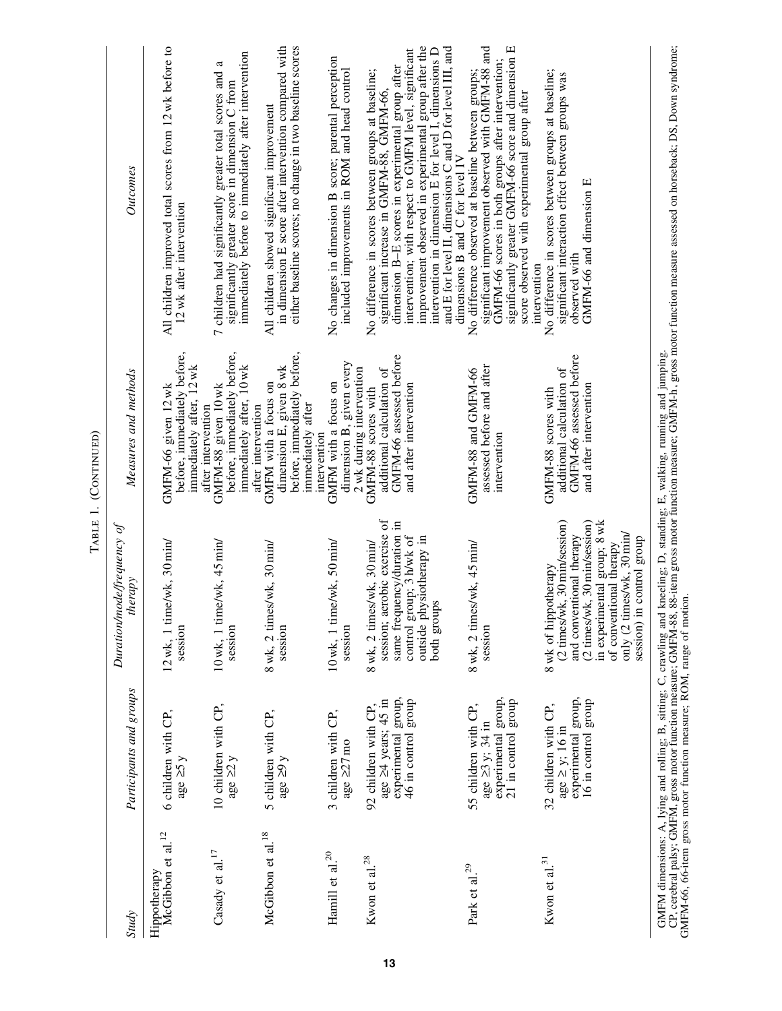|                                               |                                                                                                    |                                                                                                                                                                                                                                         | TABLE 1. (CONTINUED)                                                                                                              |                                                                                                                                                                                                                                                                                                                                                                                                                                |
|-----------------------------------------------|----------------------------------------------------------------------------------------------------|-----------------------------------------------------------------------------------------------------------------------------------------------------------------------------------------------------------------------------------------|-----------------------------------------------------------------------------------------------------------------------------------|--------------------------------------------------------------------------------------------------------------------------------------------------------------------------------------------------------------------------------------------------------------------------------------------------------------------------------------------------------------------------------------------------------------------------------|
| <b>Study</b>                                  | Participants and groups                                                                            | Duration mode frequency of<br>therapy                                                                                                                                                                                                   | Measures and methods                                                                                                              | Outcomes                                                                                                                                                                                                                                                                                                                                                                                                                       |
| McGibbon et al. <sup>12</sup><br>Hippotherapy | 6 children with CP,<br>age $\geq 5y$                                                               | $12$ wk, 1 time/wk, 30 min/<br>session                                                                                                                                                                                                  | before, immediately before,<br>immediately after, 12 wk<br>GMFM-66 given 12 wk                                                    | All children improved total scores from 12 wk before to<br>12 wk after intervention                                                                                                                                                                                                                                                                                                                                            |
| Casady et al. $^{17}$                         | 10 children with CP,<br>age $\geq 2y$                                                              | $10$ wk, 1 time/wk, $45$ min/<br>session                                                                                                                                                                                                | before, immediately before,<br>immediately after, 10 wk<br>GMFM-88 given 10 wk<br>after intervention                              | immediately before to immediately after intervention<br>a<br>7 children had significantly greater total scores and<br>significantly greater score in dimension C from                                                                                                                                                                                                                                                          |
| McGibbon et al. <sup>18</sup>                 | 5 children with CP,<br>age $\geq 9y$                                                               | 8 wk, 2 times/wk, 30 min/<br>session                                                                                                                                                                                                    | before, immediately before,<br>dimension E, given 8 wk<br>GMFM with a focus on<br>immediately after<br>after intervention         | in dimension E score after intervention compared with<br>either baseline scores; no change in two baseline scores<br>All children showed significant improvement                                                                                                                                                                                                                                                               |
| Hamill et al. $^{20}$                         | 3 children with CP,<br>age $\geq$ 27 mo                                                            | $10$ wk, 1 time/wk, 50 min/<br>session                                                                                                                                                                                                  | dimension B, given every<br>GMFM with a focus on<br>intervention                                                                  | No changes in dimension B score; parental perception<br>included improvements in ROM and head control                                                                                                                                                                                                                                                                                                                          |
| Kwon et al. $^{28}$                           | experimental group,<br>46 in control group<br>age ≥4 years; 45 in<br>92 children with CP,          | session; aerobic exercise of<br>same frequency/duration in<br>control group; 3 h/wk of<br>outside physiotherapy in<br>8 wk, 2 times/wk, 30 min/<br>both groups                                                                          | GMFM-66 assessed before<br>additional calculation of<br>2 wk during intervention<br>and after intervention<br>GMFM-88 scores with | improvement observed in experimental group after the<br>intervention in dimension E for level I, dimensions D<br>and E for level II, dimensions C and D for level III, and<br>intervention; with respect to GMFM level, significant<br>dimension B-E scores in experimental group after<br>No difference in scores between groups at baseline;<br>significant increase in GMFM-88, GMFM-66,<br>dimensions B and C for level IV |
| Park et al. $^{29}$                           | experimental group,<br>21 <sup>'</sup> in control group<br>55 children with CP,<br>age ≥3 y; 34 in | 8 wk, 2 times/wk, 45 min/<br>session                                                                                                                                                                                                    | assessed before and after<br>GMFM-88 and GMFM-66<br>intervention                                                                  | significant improvement observed with GMFM-88 and<br>significantly greater GMFM-66 score and dimension E<br>GMFM-66 scores in both groups after intervention;<br>No difference observed at baseline between groups;<br>score observed with experimental group after<br>intervention                                                                                                                                            |
| Kwon et al. $31$                              | experimental group,<br>16 in control group<br>32 children with CP,<br>age $\geq$ y; 16 in          | (2 times/wk, 30 min/session)<br>(2 times/wk, 30 min/session)<br>in experimental group; 8 wk<br>and conventional therapy<br>only (2 times/wk, 30 min/<br>control group<br>of conventional therapy<br>8 wk of hippotherapy<br>session) in | GMFM-66 assessed before<br>additional calculation of<br>and after intervention<br>GMFM-88 scores with                             | No difference in scores between groups at baseline;<br>significant interaction effect between groups was<br>GMFM-66 and dimension E<br>observed with                                                                                                                                                                                                                                                                           |
|                                               |                                                                                                    |                                                                                                                                                                                                                                         |                                                                                                                                   | GMFM dimensions: A, lying and rolling; B, sitting; C, crawling and kneeling; D, standing; E, walking, running and jumping.<br>CP, cerebral palsy; GMFM, gross motor function measure; GMFM-88, 88-item gross motor function funct                                                                                                                                                                                              |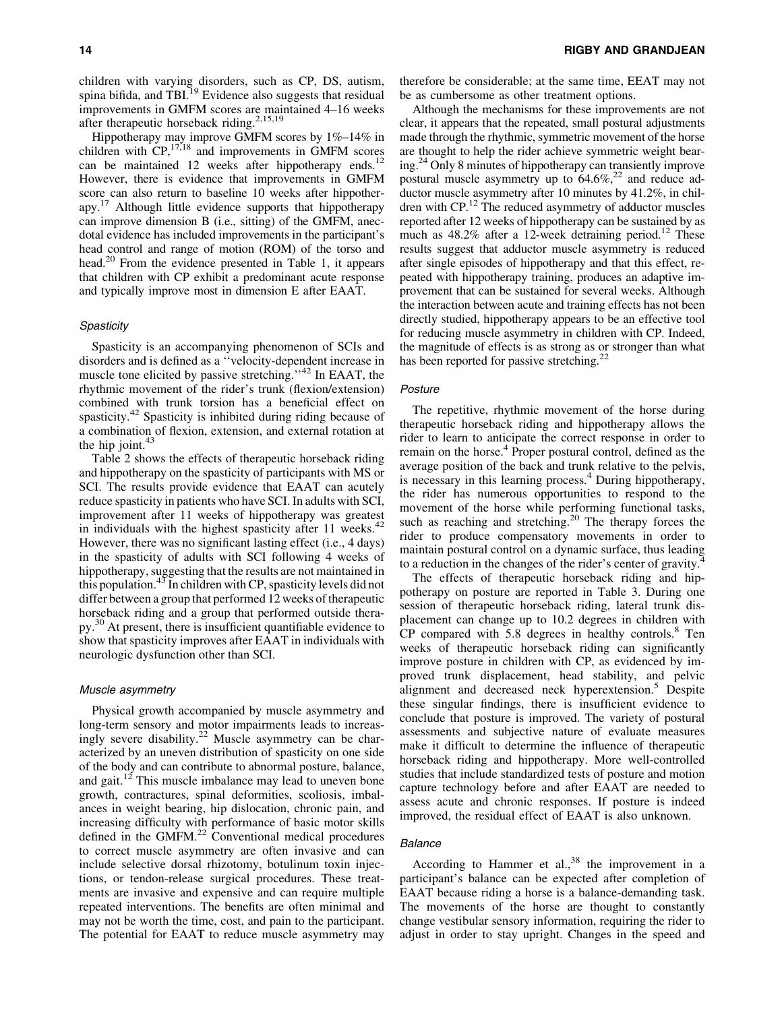children with varying disorders, such as CP, DS, autism, spina bifida, and TBI.<sup>19</sup> Evidence also suggests that residual improvements in GMFM scores are maintained 4–16 weeks after therapeutic horseback riding.<sup>2,15,19</sup>

Hippotherapy may improve GMFM scores by 1%–14% in children with  $CP<sub>1</sub><sup>17,18</sup>$  and improvements in GMFM scores can be maintained 12 weeks after hippotherapy ends.<sup>12</sup> However, there is evidence that improvements in GMFM score can also return to baseline 10 weeks after hippotherapy.17 Although little evidence supports that hippotherapy can improve dimension B (i.e., sitting) of the GMFM, anecdotal evidence has included improvements in the participant's head control and range of motion (ROM) of the torso and head.<sup>20</sup> From the evidence presented in Table 1, it appears that children with CP exhibit a predominant acute response and typically improve most in dimension E after EAAT.

## **Spasticity**

Spasticity is an accompanying phenomenon of SCIs and disorders and is defined as a ''velocity-dependent increase in muscle tone elicited by passive stretching."<sup>42</sup> In EAAT, the rhythmic movement of the rider's trunk (flexion/extension) combined with trunk torsion has a beneficial effect on spasticity.<sup>42</sup> Spasticity is inhibited during riding because of a combination of flexion, extension, and external rotation at the hip joint. $43$ 

Table 2 shows the effects of therapeutic horseback riding and hippotherapy on the spasticity of participants with MS or SCI. The results provide evidence that EAAT can acutely reduce spasticity in patients who have SCI. In adults with SCI, improvement after 11 weeks of hippotherapy was greatest in individuals with the highest spasticity after 11 weeks. $42$ However, there was no significant lasting effect (i.e., 4 days) in the spasticity of adults with SCI following 4 weeks of hippotherapy, suggesting that the results are not maintained in this population.<sup>43</sup> In children with CP, spasticity levels did not differ between a group that performed 12 weeks of therapeutic horseback riding and a group that performed outside therapy.30 At present, there is insufficient quantifiable evidence to show that spasticity improves after EAAT in individuals with neurologic dysfunction other than SCI.

#### Muscle asymmetry

Physical growth accompanied by muscle asymmetry and long-term sensory and motor impairments leads to increasingly severe disability.<sup>22</sup> Muscle asymmetry can be characterized by an uneven distribution of spasticity on one side of the body and can contribute to abnormal posture, balance, and gait.<sup>12</sup> This muscle imbalance may lead to uneven bone growth, contractures, spinal deformities, scoliosis, imbalances in weight bearing, hip dislocation, chronic pain, and increasing difficulty with performance of basic motor skills defined in the GMFM.<sup>22</sup> Conventional medical procedures to correct muscle asymmetry are often invasive and can include selective dorsal rhizotomy, botulinum toxin injections, or tendon-release surgical procedures. These treatments are invasive and expensive and can require multiple repeated interventions. The benefits are often minimal and may not be worth the time, cost, and pain to the participant. The potential for EAAT to reduce muscle asymmetry may

therefore be considerable; at the same time, EEAT may not be as cumbersome as other treatment options.

Although the mechanisms for these improvements are not clear, it appears that the repeated, small postural adjustments made through the rhythmic, symmetric movement of the horse are thought to help the rider achieve symmetric weight bearing.<sup>24</sup> Only 8 minutes of hippotherapy can transiently improve postural muscle asymmetry up to  $64.6\%$ <sup>22</sup> and reduce adductor muscle asymmetry after 10 minutes by 41.2%, in children with CP.12 The reduced asymmetry of adductor muscles reported after 12 weeks of hippotherapy can be sustained by as much as  $48.2\%$  after a 12-week detraining period.<sup>12</sup> These results suggest that adductor muscle asymmetry is reduced after single episodes of hippotherapy and that this effect, repeated with hippotherapy training, produces an adaptive improvement that can be sustained for several weeks. Although the interaction between acute and training effects has not been directly studied, hippotherapy appears to be an effective tool for reducing muscle asymmetry in children with CP. Indeed, the magnitude of effects is as strong as or stronger than what has been reported for passive stretching.<sup>22</sup>

## Posture

The repetitive, rhythmic movement of the horse during therapeutic horseback riding and hippotherapy allows the rider to learn to anticipate the correct response in order to remain on the horse.<sup>4</sup> Proper postural control, defined as the average position of the back and trunk relative to the pelvis, is necessary in this learning process.<sup>4</sup> During hippotherapy, the rider has numerous opportunities to respond to the movement of the horse while performing functional tasks, such as reaching and stretching.<sup>20</sup> The therapy forces the rider to produce compensatory movements in order to maintain postural control on a dynamic surface, thus leading to a reduction in the changes of the rider's center of gravity.<sup>4</sup>

The effects of therapeutic horseback riding and hippotherapy on posture are reported in Table 3. During one session of therapeutic horseback riding, lateral trunk displacement can change up to 10.2 degrees in children with  $CP$  compared with 5.8 degrees in healthy controls.<sup>8</sup> Ten weeks of therapeutic horseback riding can significantly improve posture in children with CP, as evidenced by improved trunk displacement, head stability, and pelvic alignment and decreased neck hyperextension.<sup>5</sup> Despite these singular findings, there is insufficient evidence to conclude that posture is improved. The variety of postural assessments and subjective nature of evaluate measures make it difficult to determine the influence of therapeutic horseback riding and hippotherapy. More well-controlled studies that include standardized tests of posture and motion capture technology before and after EAAT are needed to assess acute and chronic responses. If posture is indeed improved, the residual effect of EAAT is also unknown.

## **Balance**

According to Hammer et al., $38$  the improvement in a participant's balance can be expected after completion of EAAT because riding a horse is a balance-demanding task. The movements of the horse are thought to constantly change vestibular sensory information, requiring the rider to adjust in order to stay upright. Changes in the speed and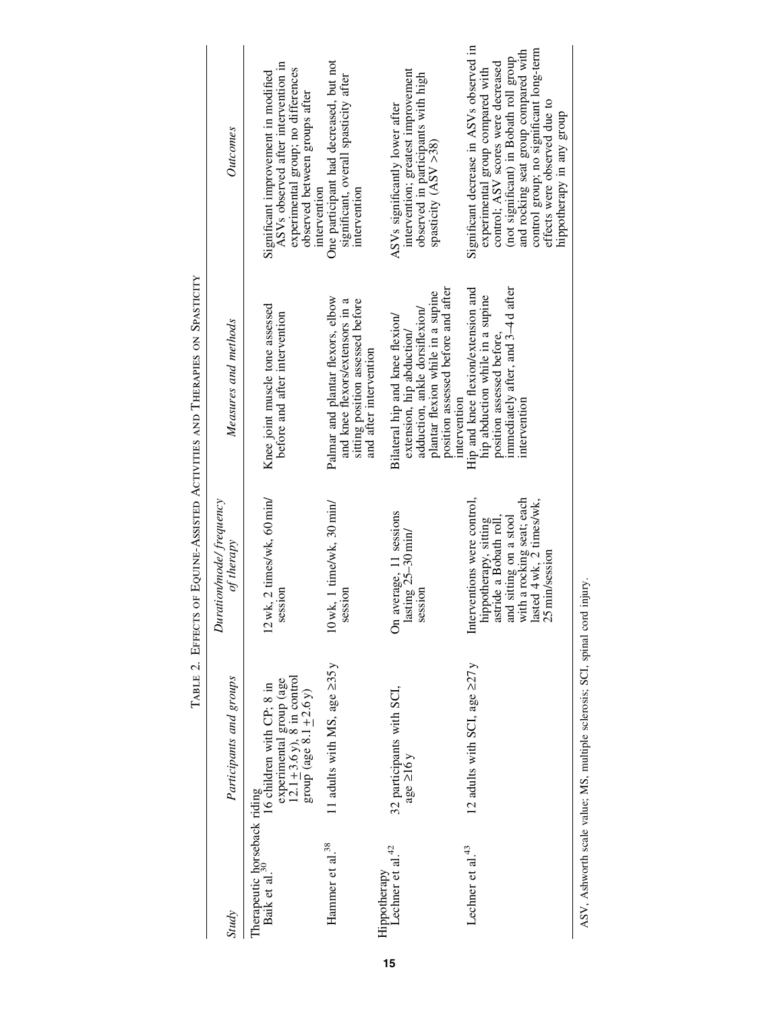|                                                                 |                                                                                                                      |                                                                                                                                                                                          | I ABLE 2. EFFECIA UT EQUINE-ASSISIBI ACIIVILES AND I HEKATES ON SPASIICI I                                                                                                |                                                                                                                                                                                                                                                                                                              |
|-----------------------------------------------------------------|----------------------------------------------------------------------------------------------------------------------|------------------------------------------------------------------------------------------------------------------------------------------------------------------------------------------|---------------------------------------------------------------------------------------------------------------------------------------------------------------------------|--------------------------------------------------------------------------------------------------------------------------------------------------------------------------------------------------------------------------------------------------------------------------------------------------------------|
| <b>Study</b>                                                    | Participants and groups                                                                                              | Duration/mode/frequency<br>of therapy                                                                                                                                                    | Measures and methods                                                                                                                                                      | Outcomes                                                                                                                                                                                                                                                                                                     |
| Therapeutic horseback riding<br>Baik et al. <sup>30</sup> 16 ch | experimental group (age<br>12.1 $\pm$ 3.6 y), 8 in control<br>16 children with CP; 8 in<br>group (age $8.1 + 2.6$ y) | 12 wk, 2 times/wk, 60 min/<br>session                                                                                                                                                    | Knee joint muscle tone assessed<br>before and after intervention                                                                                                          | ASV <sub>s</sub> observed after intervention in<br>experimental group; no differences<br>Significant improvement in modified<br>observed between groups after                                                                                                                                                |
| Hammer et al. $^{38}$                                           | 11 adults with MS, age $\geq 35y$                                                                                    | $10$ wk, 1 time/wk, $30$ min/<br>session                                                                                                                                                 | Palmar and plantar flexors, elbow<br>and knee flexors/extensors in a<br>sitting position assessed before<br>and after intervention                                        | One participant had decreased, but not<br>significant, overall spasticity after<br>intervention<br>intervention                                                                                                                                                                                              |
| Hippotherapy<br>Lechner et al. <sup>42</sup>                    | 32 participants with SCI,<br>age $\geq 16y$                                                                          | average, 11 sessions<br>lasting 25-30 min/<br>session<br>$\delta$                                                                                                                        | position assessed before and after<br>plantar flexion while in a supine<br>adduction, ankle dorsiflexion/<br>Bilateral hip and knee flexion/<br>extension, hip abduction/ | intervention; greatest improvement<br>observed in participants with high<br>ASVs significantly lower after<br>spasticity (ASV >38)                                                                                                                                                                           |
| Lechner et al. <sup>43</sup>                                    | 12 adults with SCI, age $\geq 27y$                                                                                   | Interventions were control,<br>with a rocking seat; each<br>lasted $4$ wk, $2$ times/wk,<br>$25$ min/session<br>and sitting on a stool<br>hippotherapy, sitting<br>astride a Bobath roll | Hip and knee flexion/extension and<br>immediately after, and 3-4 d after<br>hip abduction while in a supine<br>position assessed before.<br>intervention<br>intervention  | Significant decrease in ASVs observed in<br>control group; no significant long-term<br>and rocking seat group compared with<br>(not significant) in Bobath roll group<br>control; ASV scores were decreased<br>experimental group compared with<br>effects were observed due to<br>hippotherapy in any group |

TABLE 2. EFFECTS OF EQUINE-ASSISTED ACTIVITIES AND THERAPIES ON SPASTICITY Table 2. Effects of Equine-Assisted Activities and Therapies on Spasticity

ASV, Ashworth scale value; MS, multiple sclerosis; SCI, spinal cord injury. ASV, Ashworth scale value; MS, multiple sclerosis; SCI, spinal cord injury.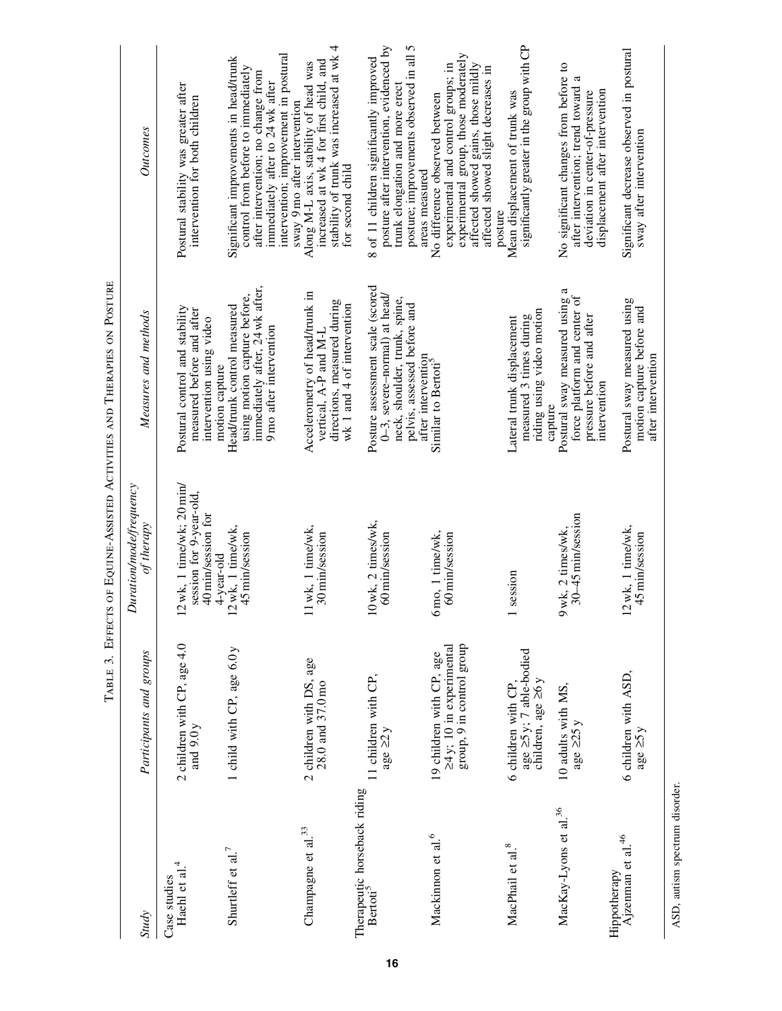|                                                      |                                                                                         |                                                                                          | IABLE  LITEUR OF LOUGHED ACTIVITIES AND IHEKAPIES ON IOSIDIES                                                                                             |                                                                                                                                                                                                                                 |
|------------------------------------------------------|-----------------------------------------------------------------------------------------|------------------------------------------------------------------------------------------|-----------------------------------------------------------------------------------------------------------------------------------------------------------|---------------------------------------------------------------------------------------------------------------------------------------------------------------------------------------------------------------------------------|
| <b>Study</b>                                         | Participants and groups                                                                 | Duration/mode/frequency<br>of therapy                                                    | Measures and methods                                                                                                                                      | <b>Outcomes</b>                                                                                                                                                                                                                 |
| 4<br>Haehl et al.<br>Case studies                    | 2 children with CP, age 4.0<br>and $9.0 y$                                              | 12 wk, 1 time/wk; 20 min/<br>session for 9-year-old,<br>40 min/session for<br>4-year-old | Postural control and stability<br>measured before and after<br>intervention using video<br>motion capture                                                 | Postural stability was greater after<br>intervention for both children                                                                                                                                                          |
| Shurtleff et al. <sup>7</sup>                        | 1 child with CP, age 6.0 y                                                              | 12 wk, 1 time/wk,<br>45 min/session                                                      | immediately after, 24 wk after,<br>using motion capture before,<br>Head/trunk control measured<br>9 mo after intervention                                 | intervention; improvement in postural<br>Significant improvements in head/trunk<br>control from before to immediately<br>after intervention; no change from<br>immediately after to 24 wk after<br>sway 9 mo after intervention |
| Champagne et al. <sup>33</sup>                       | 2 children with DS, age<br>28.0 and 37.0 mo                                             | 11 wk, 1 time/wk,<br>30 min/session                                                      | Accelerometry of head/trunk in<br>directions, measured during<br>wk 1 and 4 of intervention<br>vertical, A-P and M-L                                      | stability of trunk was increased at wk 4<br>increased at wk 4 for first child, and<br>Along M-L axis, stability of head was<br>for second child                                                                                 |
| Therapeutic horseback riding<br>Bertoti <sup>5</sup> | 11 children with CP,<br>age $\geq 2y$                                                   | 10 wk, 2 times/wk,<br>60 min/session                                                     | Posture assessment scale (scored<br>$0-3$ , severe-normal) at head/<br>neck, shoulder, trunk, spine,<br>pelvis, assessed before and<br>after intervention | posture; improvements observed in all 5<br>posture after intervention, evidenced by<br>8 of 11 children significantly improved<br>trunk elongation and more erect<br>areas measured                                             |
| Mackinnon et al. <sup>6</sup>                        | group, 9 in control group<br>$\geq 4$ y; 10 in experimental<br>19 children with CP, age | mo, 1 time/wk,<br>60 min/session<br>$\bar{\circ}$                                        | Similar to Bertoti <sup>5</sup>                                                                                                                           | experimental group, those moderately<br>affected showed gains, those mildly<br>experimental and control groups; in<br>affected showed slight decreases in<br>No difference observed between                                     |
| MacPhail et al. <sup>8</sup>                         | age $\geq$ 5y; 7 able-bodied<br>children, age $\geq$ 6y<br>6 children with CP,          | session                                                                                  | riding using video motion<br>measured 3 times during<br>Lateral trunk displacement<br>capture                                                             | significantly greater in the group with CP<br>Mean displacement of trunk was<br>posture                                                                                                                                         |
| MacKay-Lyons et al. <sup>36</sup><br>Hippotherapy    | 10 adults with MS,<br>age $\geq$ 25 y                                                   | 30-45 min/session<br>wk, 2 times/wk,<br>$\sigma$                                         | Postural sway measured using a<br>force platform and center of<br>pressure before and after<br>intervention                                               | No significant changes from before to<br>after intervention; trend toward<br>displacement after intervention<br>deviation in center-of-pressure                                                                                 |
| Ajzenman et al. <sup>46</sup>                        | 6 children with ASD,<br>age $\geq$ 5y                                                   | 12 wk, 1 time/wk,<br>45 min/session                                                      | Postural sway measured using<br>motion capture before and<br>after intervention                                                                           | Significant decrease observed in postural<br>sway after intervention                                                                                                                                                            |
| ASD, autism spectrum disorder.                       |                                                                                         |                                                                                          |                                                                                                                                                           |                                                                                                                                                                                                                                 |

TABLE 3. EFFECTS OF EQUINE-ASSISTED ACTIVITIES AND THERAPIES ON POSTURE Table 3. Effects of Equine-Assisted Activities and Therapies on Posture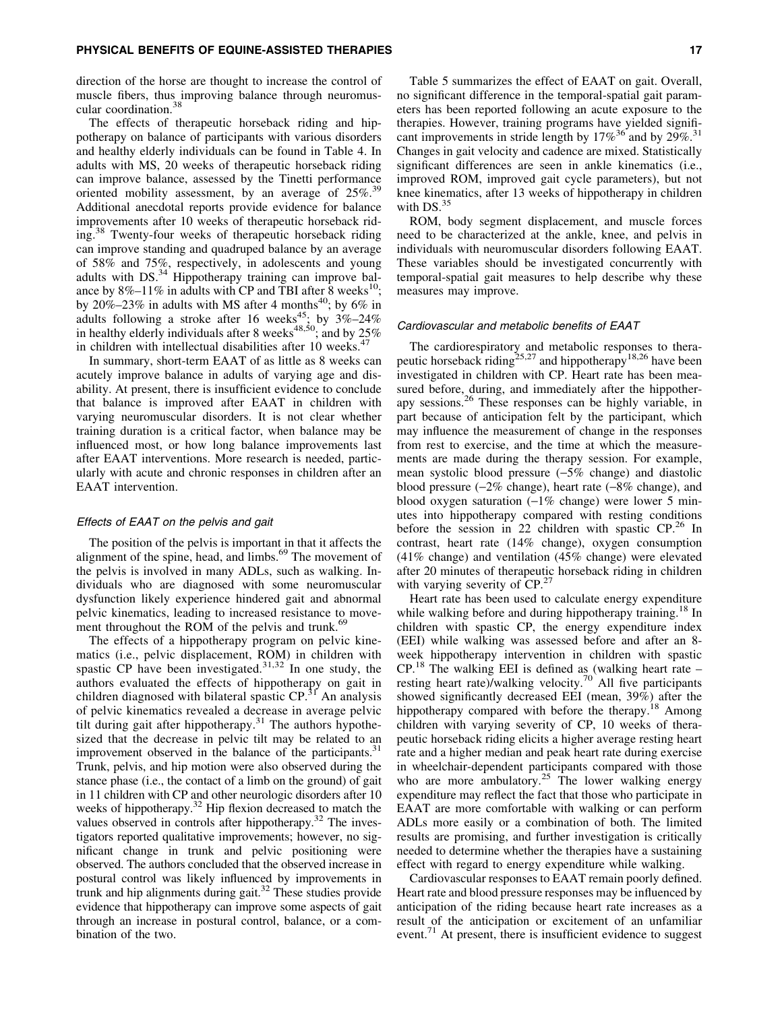direction of the horse are thought to increase the control of muscle fibers, thus improving balance through neuromuscular coordination.<sup>38</sup>

The effects of therapeutic horseback riding and hippotherapy on balance of participants with various disorders and healthy elderly individuals can be found in Table 4. In adults with MS, 20 weeks of therapeutic horseback riding can improve balance, assessed by the Tinetti performance oriented mobility assessment, by an average of  $25\%$ .<sup>39</sup> Additional anecdotal reports provide evidence for balance improvements after 10 weeks of therapeutic horseback riding.<sup>38</sup> Twenty-four weeks of therapeutic horseback riding can improve standing and quadruped balance by an average of 58% and 75%, respectively, in adolescents and young adults with DS. $34$  Hippotherapy training can improve balance by  $8\% - 11\%$  in adults with CP and TBI after 8 weeks<sup>10</sup>; by 20%–23% in adults with MS after 4 months<sup>40</sup>; by 6% in adults following a stroke after 16 weeks<sup>45</sup>; by  $3\% - 24\%$ in healthy elderly individuals after 8 weeks $^{48,50}$ ; and by 25% in children with intellectual disabilities after 10 weeks.<sup>47</sup>

In summary, short-term EAAT of as little as 8 weeks can acutely improve balance in adults of varying age and disability. At present, there is insufficient evidence to conclude that balance is improved after EAAT in children with varying neuromuscular disorders. It is not clear whether training duration is a critical factor, when balance may be influenced most, or how long balance improvements last after EAAT interventions. More research is needed, particularly with acute and chronic responses in children after an EAAT intervention.

#### Effects of EAAT on the pelvis and gait

The position of the pelvis is important in that it affects the alignment of the spine, head, and limbs.<sup>69</sup> The movement of the pelvis is involved in many ADLs, such as walking. Individuals who are diagnosed with some neuromuscular dysfunction likely experience hindered gait and abnormal pelvic kinematics, leading to increased resistance to movement throughout the ROM of the pelvis and trunk.<sup>69</sup>

The effects of a hippotherapy program on pelvic kinematics (i.e., pelvic displacement, ROM) in children with spastic CP have been investigated.<sup>31,32</sup> In one study, the authors evaluated the effects of hippotherapy on gait in children diagnosed with bilateral spastic CP.<sup>31</sup> An analysis of pelvic kinematics revealed a decrease in average pelvic tilt during gait after hippotherapy.<sup>31</sup> The authors hypothesized that the decrease in pelvic tilt may be related to an improvement observed in the balance of the participants.<sup>31</sup> Trunk, pelvis, and hip motion were also observed during the stance phase (i.e., the contact of a limb on the ground) of gait in 11 children with CP and other neurologic disorders after 10 weeks of hippotherapy.<sup>32</sup> Hip flexion decreased to match the values observed in controls after hippotherapy. $32$  The investigators reported qualitative improvements; however, no significant change in trunk and pelvic positioning were observed. The authors concluded that the observed increase in postural control was likely influenced by improvements in trunk and hip alignments during gait.<sup>32</sup> These studies provide evidence that hippotherapy can improve some aspects of gait through an increase in postural control, balance, or a combination of the two.

Table 5 summarizes the effect of EAAT on gait. Overall, no significant difference in the temporal-spatial gait parameters has been reported following an acute exposure to the therapies. However, training programs have yielded significant improvements in stride length by  $17\%^{36}$  and by  $29\%^{31}$ . Changes in gait velocity and cadence are mixed. Statistically significant differences are seen in ankle kinematics (i.e., improved ROM, improved gait cycle parameters), but not knee kinematics, after 13 weeks of hippotherapy in children with DS.<sup>35</sup>

ROM, body segment displacement, and muscle forces need to be characterized at the ankle, knee, and pelvis in individuals with neuromuscular disorders following EAAT. These variables should be investigated concurrently with temporal-spatial gait measures to help describe why these measures may improve.

#### Cardiovascular and metabolic benefits of EAAT

The cardiorespiratory and metabolic responses to therapeutic horseback riding<sup>25,27</sup> and hippotherapy<sup>18,26</sup> have been investigated in children with CP. Heart rate has been measured before, during, and immediately after the hippotherapy sessions.<sup>26</sup> These responses can be highly variable, in part because of anticipation felt by the participant, which may influence the measurement of change in the responses from rest to exercise, and the time at which the measurements are made during the therapy session. For example, mean systolic blood pressure  $(-5\%$  change) and diastolic blood pressure  $(-2\%$  change), heart rate  $(-8\%$  change), and blood oxygen saturation  $(-1\%$  change) were lower 5 minutes into hippotherapy compared with resting conditions before the session in 22 children with spastic  $CP<sup>26</sup>$  In contrast, heart rate (14% change), oxygen consumption (41% change) and ventilation (45% change) were elevated after 20 minutes of therapeutic horseback riding in children with varying severity of CP.<sup>27</sup>

Heart rate has been used to calculate energy expenditure while walking before and during hippotherapy training.<sup>18</sup> In children with spastic CP, the energy expenditure index (EEI) while walking was assessed before and after an 8 week hippotherapy intervention in children with spastic  $CP<sup>18</sup>$  The walking EEI is defined as (walking heart rate – resting heart rate)/walking velocity.<sup>70</sup> All five participants showed significantly decreased EEI (mean, 39%) after the hippotherapy compared with before the therapy.<sup>18</sup> Among children with varying severity of CP, 10 weeks of therapeutic horseback riding elicits a higher average resting heart rate and a higher median and peak heart rate during exercise in wheelchair-dependent participants compared with those who are more ambulatory.<sup>25</sup> The lower walking energy expenditure may reflect the fact that those who participate in EAAT are more comfortable with walking or can perform ADLs more easily or a combination of both. The limited results are promising, and further investigation is critically needed to determine whether the therapies have a sustaining effect with regard to energy expenditure while walking.

Cardiovascular responses to EAAT remain poorly defined. Heart rate and blood pressure responses may be influenced by anticipation of the riding because heart rate increases as a result of the anticipation or excitement of an unfamiliar event.<sup>71</sup> At present, there is insufficient evidence to suggest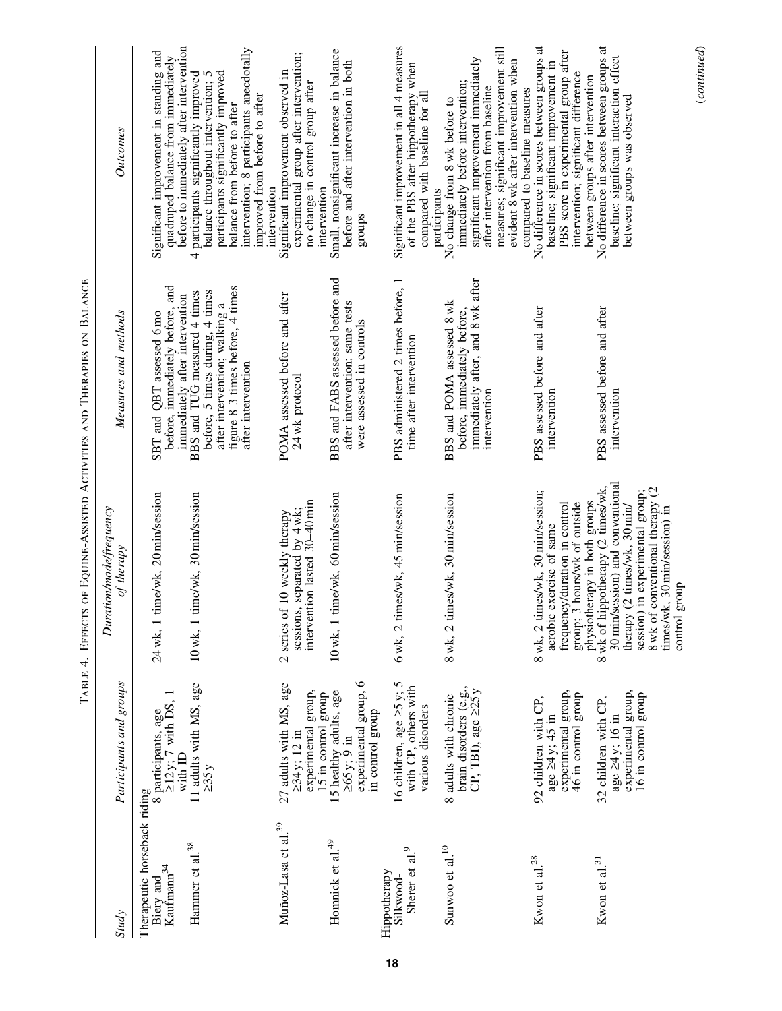| Study                                                           | Participants and groups                                                                                         | <b>Duration/mode/frequency</b><br>of therapy                                                                                                                                                                                                                       | Measures and methods                                                                                                                                       | Outcomes                                                                                                                                                                                                                                        |
|-----------------------------------------------------------------|-----------------------------------------------------------------------------------------------------------------|--------------------------------------------------------------------------------------------------------------------------------------------------------------------------------------------------------------------------------------------------------------------|------------------------------------------------------------------------------------------------------------------------------------------------------------|-------------------------------------------------------------------------------------------------------------------------------------------------------------------------------------------------------------------------------------------------|
| Therapeutic horseback riding<br>$K$ aufma $m^{34}$<br>Biery and | 8 participants, age<br>$\geq 12$ y; 7 with DS,<br>with ID                                                       | 24 wk, 1 time/wk, 20 min/session                                                                                                                                                                                                                                   | before, immediately before, and<br>immediately after intervention<br>SBT and QBT assessed 6 mo                                                             | before to immediately after intervention<br>Significant improvement in standing and<br>quadruped balance from immediately                                                                                                                       |
| Hammer et al. <sup>38</sup>                                     | 11 adults with MS, age<br>$\geq 35y$                                                                            | 10 wk, 1 time/wk, 30 min/session                                                                                                                                                                                                                                   | figure 8.3 times before, 4 times<br>before, 5 times during, 4 times<br>BBS and TUG measured 4 times<br>after intervention; walking a<br>after intervention | intervention; 8 participants anecdotally<br>participants significantly improved<br>participants significantly improved<br>balance throughout intervention; 5<br>improved from before to after<br>balance from before to after<br>4              |
| Muñoz-Lasa et al. <sup>39</sup>                                 | 27 adults with MS, age<br>experimental group,<br>$>34$ y; 12 in                                                 | sessions, separated by $4$ wk;<br>intervention lasted $30-40$ min<br>2 series of 10 weekly therapy                                                                                                                                                                 | POMA assessed before and after<br>24 wk protocol                                                                                                           | experimental group after intervention;<br>Significant improvement observed in<br>no change in control group after<br>intervention                                                                                                               |
| Homnick et al. <sup>49</sup>                                    | experimental group, 6<br>15 healthy adults, age<br>15 in control group<br>in control group<br>$\geq 65$ y; 9 in | 10 wk, 1 time/wk, 60 min/session                                                                                                                                                                                                                                   | BBS and FABS assessed before and<br>after intervention; same tests<br>were assessed in controls                                                            | Small, nonsignificant increase in balance<br>before and after intervention in both<br>intervention<br>sdnorß                                                                                                                                    |
| Sherer et al. <sup>9</sup><br>Hippotherapy<br>Silkwood-         | 16 children, age $\ge$ 5 y; 5<br>with CP, others with<br>various disorders                                      | 6 wk, 2 times/wk, 45 min/session                                                                                                                                                                                                                                   | PBS administered 2 times before, 1<br>time after intervention                                                                                              | Significant improvement in all 4 measures<br>of the PBS after hippotherapy when<br>compared with baseline for all                                                                                                                               |
| Sunwoo et al. <sup>10</sup>                                     | brain disorders (e.g.,<br>CP, TBI), age $\geq 25y$<br>8 adults with chronic                                     | 8 wk, 2 times/wk, 30 min/session                                                                                                                                                                                                                                   | immediately after, and 8 wk after<br>BBS and POMA assessed 8 wk<br>before, immediately before,<br>intervention                                             | measures; significant improvement still<br>significant improvement immediately<br>evident 8 wk after intervention when<br>immediately before intervention;<br>after intervention from baseline<br>No change from 8 wk before to<br>participants |
| Kwon et al. $^{28}$                                             | experimental group,<br>46 in control group<br>92 children with CP,<br>age ≥4 y; 45 in                           | 8 wk, 2 times/wk, 30 min/session;<br>group; 3 hours/wk of outside<br>frequency/duration in control<br>aerobic exercise of same                                                                                                                                     | PBS assessed before and after<br>intervention                                                                                                              | No difference in scores between groups at<br>PBS score in experimental group after<br>baseline; significant improvement in<br>intervention; significant difference<br>compared to baseline measures                                             |
| Kwon et al. $31$                                                | experimental group,<br>16 in control group<br>32 children with CP,<br>age ≥4 y; 16 in                           | 30 min/session) and conventional<br>8 wk of hippotherapy (2 times/wk,<br>8 wk of conventional therapy (2<br>session) in experimental group;<br>physiotherapy in both groups<br>(2 times/wk, 30 min/<br>times/wk, 30 min/session) in<br>group<br>therapy<br>control | PBS assessed before and after<br>intervention                                                                                                              | No difference in scores between groups at<br>baseline; significant interaction effect<br>between groups after intervention<br>between groups was observed                                                                                       |

(*continued*)

 $\label{eq:constrained} (continued)$ 

TABLE 4. EFFECTS OF EQUINE-ASSISTED ACTIVITIES AND THERAPIES ON BALANCE Table 4. Effects of Equine-Assisted Activities and Therapies on Balance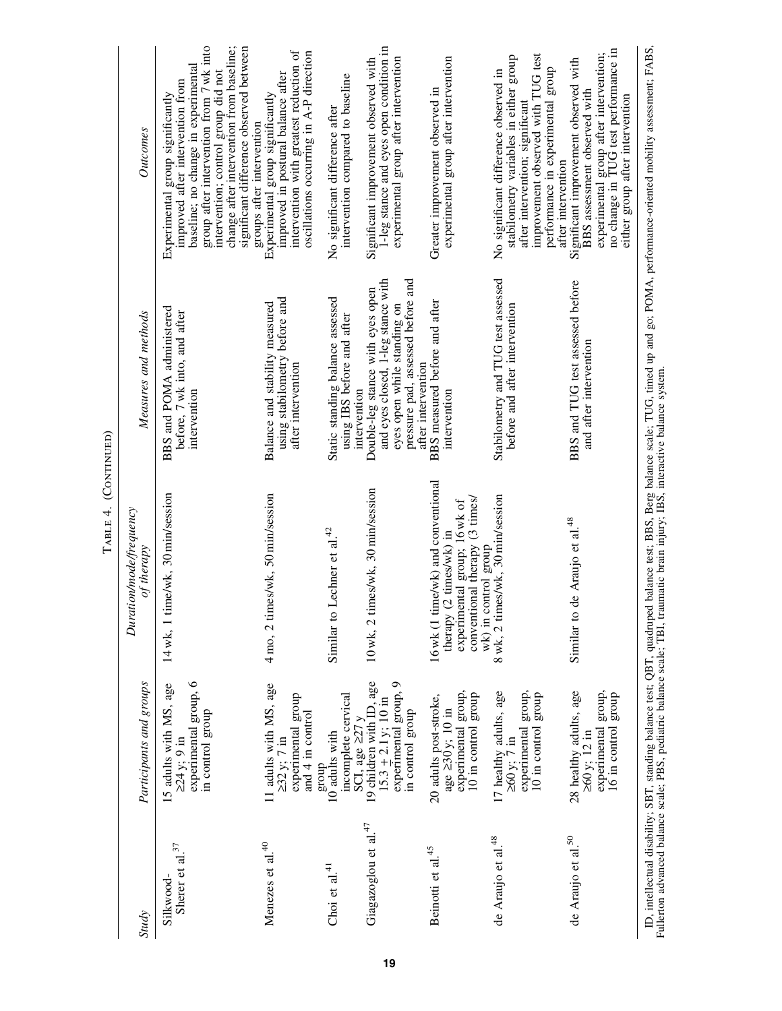| ŗ<br>Ï |  |
|--------|--|

| Study                            | Participants and groups                                                                          | Duration/mode/frequency<br>of therapy                                                                                                                   | Measures and methods                                                                                                                                             | <b>Outcomes</b>                                                                                                                                                                                                                                                                                                   |
|----------------------------------|--------------------------------------------------------------------------------------------------|---------------------------------------------------------------------------------------------------------------------------------------------------------|------------------------------------------------------------------------------------------------------------------------------------------------------------------|-------------------------------------------------------------------------------------------------------------------------------------------------------------------------------------------------------------------------------------------------------------------------------------------------------------------|
| Sherer et al. $37$<br>Silkwood-  | experimental group, 6<br>15 adults with MS, age<br>in control group<br>$>24 y$ ; 9 in            | 14 wk, 1 time/wk, 30 min/session                                                                                                                        | BBS and POMA administered<br>before, 7 wk into, and after<br>intervention                                                                                        | group after intervention from 7 wk into<br>change after intervention from baseline;<br>significant difference observed between<br>baseline; no change in experimental<br>intervention; control group did not<br>improved after intervention from<br>Experimental group significantly<br>groups after intervention |
| Menezes et al. <sup>40</sup>     | 11 adults with MS, age<br>$\geq 32$ y; 7 in<br>experimental group<br>and $4$ in control<br>dnora | 4 mo, 2 times/wk, 50 min/session                                                                                                                        | using stabilometry before and<br>Balance and stability measured<br>after intervention                                                                            | intervention with greatest reduction of<br>oscillations occurring in A-P direction<br>improved in postural balance after<br>Experimental group significantly                                                                                                                                                      |
| Choi et al. <sup>41</sup>        | incomplete cervical<br>SCI, age $\geq$ 27 y<br>10 <sup>adults</sup> with                         | Lechner et al. $42$<br>Similar to                                                                                                                       | Static standing balance assessed<br>using IBS before and after<br>intervention                                                                                   | intervention compared to baseline<br>No significant difference after                                                                                                                                                                                                                                              |
| Giagazoglou et al. <sup>47</sup> | 19 children with ID, age<br>experimental group, 9<br>$15.3 \pm 2.1$ y; 10 in<br>in control group | 10 wk, 2 times/wk, 30 min/session                                                                                                                       | and eyes closed, 1-leg stance with<br>pressure pad, assessed before and<br>Double-leg stance with eyes open<br>eyes open while standing on<br>after intervention | 1-leg stance and eyes open condition in<br>experimental group after intervention<br>Significant improvement observed with                                                                                                                                                                                         |
| Beinotti et al. <sup>45</sup>    | experimental group,<br>10 in control group<br>20 adults post-stroke,<br>age 230 y; 10 in         | 16 wk (1 time/wk) and conventional<br>experimental group; 16 wk of<br>conventional therapy (3 times/<br>therapy (2 times/wk) in<br>wk) in control group | BBS measured before and after<br>intervention                                                                                                                    | experimental group after intervention<br>Greater improvement observed in                                                                                                                                                                                                                                          |
| de Araujo et al. <sup>48</sup>   | experimental group,<br>17 healthy adults, age<br>10 in control group<br>$\geq 60$ y; 7 in        | 8 wk, 2 times/wk, 30 min/session                                                                                                                        | Stabilometry and TUG test assessed<br>before and after intervention                                                                                              | improvement observed with TUG test<br>stabilometry variables in either group<br>performance in experimental group<br>No significant difference observed in<br>after intervention; significant<br>after intervention                                                                                               |
| de Araujo et al. <sup>50</sup>   | 28 healthy adults, age<br>experimental group,<br>16 in control group<br>$\geq 60$ y; 12 in       | de Araujo et al. <sup>48</sup><br>Similar to                                                                                                            | BBS and TUG test assessed before<br>and after intervention                                                                                                       | experimental group after intervention;<br>no change in TUG test performance in<br>Significant improvement observed with<br>BBS assessment observed with<br>either group after intervention                                                                                                                        |
|                                  |                                                                                                  |                                                                                                                                                         |                                                                                                                                                                  | ID, intellectual disability; SBT, standing balance test; QBT, quadruped balance test; BBS, Berg balance scale; TUG, timed up and go; POMA, performance-oriented mobility assessment; FABS,<br>Fullerton advanced balance scale; P                                                                                 |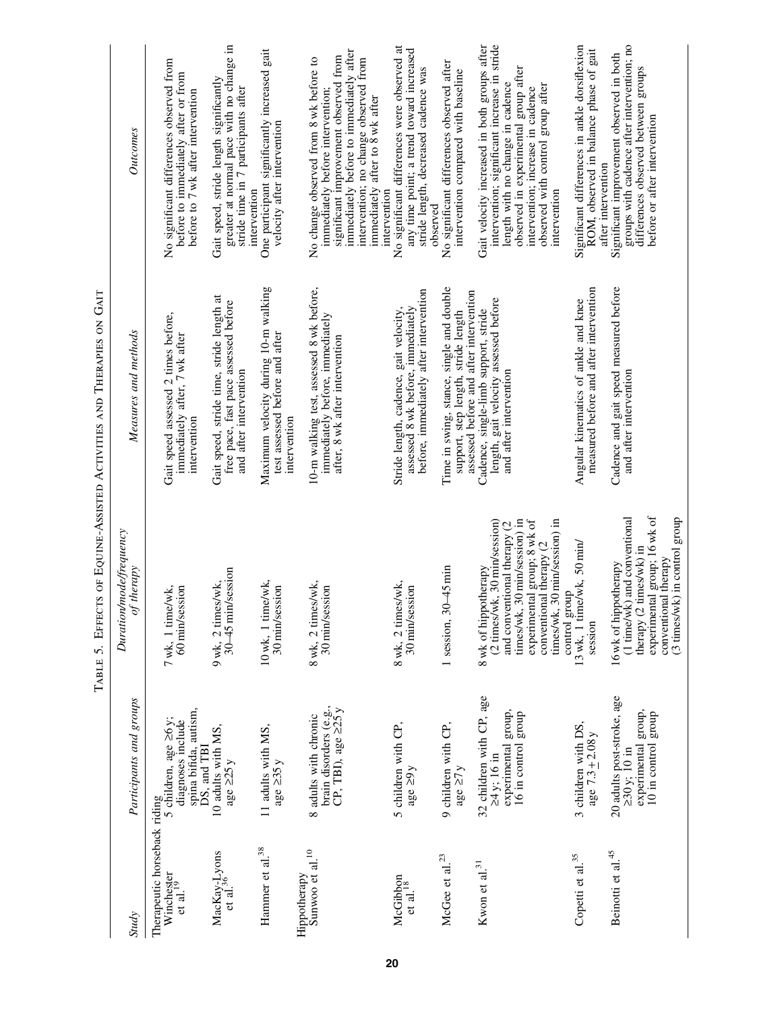| <b>Study</b>                                | Participants and groups                                                                                                                         | Duration/mode/frequency<br>therapy<br>of                                                                                                                                                                            | Measures and methods                                                                                                                              | Outcomes                                                                                                                                                                                                                                                           |
|---------------------------------------------|-------------------------------------------------------------------------------------------------------------------------------------------------|---------------------------------------------------------------------------------------------------------------------------------------------------------------------------------------------------------------------|---------------------------------------------------------------------------------------------------------------------------------------------------|--------------------------------------------------------------------------------------------------------------------------------------------------------------------------------------------------------------------------------------------------------------------|
| et al. $^{19}$                              | spina bifida, autism,<br>The<br>rapeutic horseback riding $W^i$ in $A$ age $\geq 6y$ ;<br>$S$ children, age<br>$\geq 6y$ ;<br>diagnoses include | 60 min/session<br>7 wk, 1 time/wk,                                                                                                                                                                                  | Gait speed assessed 2 times before,<br>immediately after, 7 wk after<br>intervention                                                              | No significant differences observed from<br>before to immediately after or from<br>before to 7 wk after intervention                                                                                                                                               |
| MacKay-Lyons<br>et al. <sup>36</sup>        | 10 adults with MS,<br>DS, and TBI<br>age $\geq$ 25 y                                                                                            | 30-45 min/session<br>9 wk, 2 times/wk,                                                                                                                                                                              | Gait speed, stride time, stride length at<br>free pace, fast pace assessed before<br>and after intervention                                       | greater at normal pace with no change in<br>Gait speed, stride length significantly<br>stride time in 7 participants after                                                                                                                                         |
| Hammer et al. <sup>38</sup>                 | 11 adults with MS,<br>age $\geq$ 35 y                                                                                                           | 10 wk, 1 time/wk,<br>30 min/session                                                                                                                                                                                 | Maximum velocity during 10-m walking<br>test assessed before and after<br>intervention                                                            | One participant significantly increased gait<br>velocity after intervention<br>intervention                                                                                                                                                                        |
| Sunwoo et al. <sup>10</sup><br>Hippotherapy | brain disorders (e.g.,<br>CP, TBI), age $\geq 25y$<br>8 adults with chronic                                                                     | 8 wk, 2 times/wk,<br>30 min/session                                                                                                                                                                                 | 10-m walking test, assessed 8 wk before,<br>immediately before, immediately<br>after, 8 wk after intervention                                     | immediately before to immediately after<br>significant improvement observed from<br>No change observed from 8 wk before to<br>intervention; no change observed from<br>immediately after to 8 wk after<br>immediately before intervention;                         |
| McGibbon<br>et al. <sup>18</sup>            | 5 children with CP,<br>age $\geq 9y$                                                                                                            | 8 wk, 2 times/wk,<br>30 min/session                                                                                                                                                                                 | before, immediately after intervention<br>assessed 8 wk before, immediately<br>Stride length, cadence, gait velocity,                             | No significant differences were observed at<br>any time point; a trend toward increased<br>stride length, decreased cadence was<br>intervention                                                                                                                    |
| McGee et al. $^{23}$                        | 9 children with CP,<br>age $\geq7$ y                                                                                                            | 1 session, $30-45$ min                                                                                                                                                                                              | Time in swing, stance, single and double<br>support, step length, stride length                                                                   | No significant differences observed after<br>intervention compared with baseline<br>observed                                                                                                                                                                       |
| Kwon et al. <sup>31</sup>                   | 32 children with CP, age<br>experimental group,<br>16 in control group<br>≥4 y; 16 in                                                           | 30 min/session) in<br>experimental group; 8 wk of<br>(2 times/wk, 30 min/session)<br>30 min/session) in<br>and conventional therapy (2<br>conventional therapy (2<br>8 wk of hippotherapy<br>times/wk,<br>times/wk, | assessed before and after intervention<br>length, gait velocity assessed before<br>Cadence, single-limb support, stride<br>and after intervention | Gait velocity increased in both groups after<br>intervention; significant increase in stride<br>observed in experimental group after<br>length with no change in cadence<br>observed with control group after<br>intervention; increase in cadence<br>intervention |
| Copetti et al. <sup>35</sup>                | 3 children with DS,<br>age $7.3 \pm 2.08$ y                                                                                                     | $13$ wk, 1 time/wk, 50 min/<br>control group<br>session                                                                                                                                                             | measured before and after intervention<br>Angular kinematics of ankle and knee                                                                    | Significant differences in ankle dorsiflexion<br>ROM, observed in balance phase of gait                                                                                                                                                                            |
| Beinotti et al. <sup>45</sup>               | 20 adults post-stroke, age<br>experimental group,<br>10 in control group<br>$230y$ ; 10 in                                                      | experimental group; 16 wk of<br>(3 times/wk) in control group<br>(1 time/wk) and conventional<br>times/wk) in<br>conventional therapy<br>16 wk of hippotherapy<br>therapy (2                                        | Cadence and gait speed measured before<br>and after intervention                                                                                  | groups with cadence after intervention; no<br>differences observed between groups<br>Significant improvement observed in both<br>before or after intervention<br>after intervention                                                                                |
|                                             |                                                                                                                                                 |                                                                                                                                                                                                                     |                                                                                                                                                   |                                                                                                                                                                                                                                                                    |

TABLE 5. EFFECTS OF EQUINE-ASSISTED ACTIVITIES AND THERAPIES ON GAIT Table 5. Effects of Equine-Assisted Activities and Therapies on Gait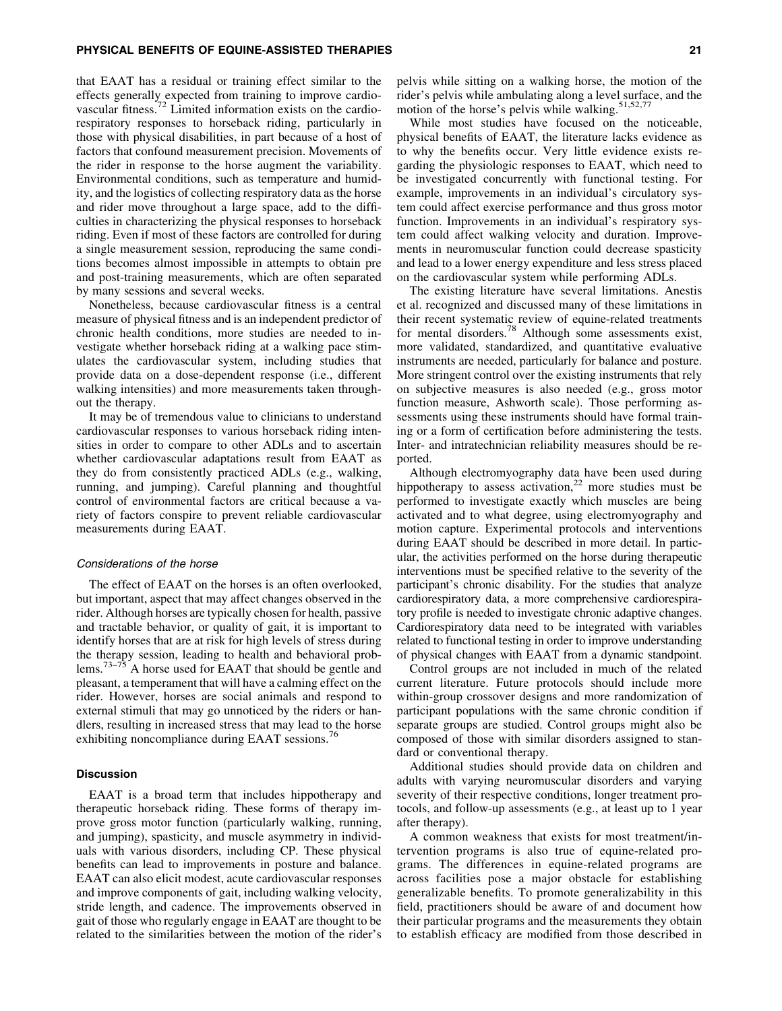#### PHYSICAL BENEFITS OF EQUINE-ASSISTED THERAPIES 21

that EAAT has a residual or training effect similar to the effects generally expected from training to improve cardiovascular fitness.<sup>72</sup> Limited information exists on the cardiorespiratory responses to horseback riding, particularly in those with physical disabilities, in part because of a host of factors that confound measurement precision. Movements of the rider in response to the horse augment the variability. Environmental conditions, such as temperature and humidity, and the logistics of collecting respiratory data as the horse and rider move throughout a large space, add to the difficulties in characterizing the physical responses to horseback riding. Even if most of these factors are controlled for during a single measurement session, reproducing the same conditions becomes almost impossible in attempts to obtain pre and post-training measurements, which are often separated by many sessions and several weeks.

Nonetheless, because cardiovascular fitness is a central measure of physical fitness and is an independent predictor of chronic health conditions, more studies are needed to investigate whether horseback riding at a walking pace stimulates the cardiovascular system, including studies that provide data on a dose-dependent response (i.e., different walking intensities) and more measurements taken throughout the therapy.

It may be of tremendous value to clinicians to understand cardiovascular responses to various horseback riding intensities in order to compare to other ADLs and to ascertain whether cardiovascular adaptations result from EAAT as they do from consistently practiced ADLs (e.g., walking, running, and jumping). Careful planning and thoughtful control of environmental factors are critical because a variety of factors conspire to prevent reliable cardiovascular measurements during EAAT.

#### Considerations of the horse

The effect of EAAT on the horses is an often overlooked, but important, aspect that may affect changes observed in the rider. Although horses are typically chosen for health, passive and tractable behavior, or quality of gait, it is important to identify horses that are at risk for high levels of stress during the therapy session, leading to health and behavioral problems.<sup>73–75</sup> A horse used for EAAT that should be gentle and pleasant, a temperament that will have a calming effect on the rider. However, horses are social animals and respond to external stimuli that may go unnoticed by the riders or handlers, resulting in increased stress that may lead to the horse exhibiting noncompliance during EAAT sessions.<sup>76</sup>

## **Discussion**

EAAT is a broad term that includes hippotherapy and therapeutic horseback riding. These forms of therapy improve gross motor function (particularly walking, running, and jumping), spasticity, and muscle asymmetry in individuals with various disorders, including CP. These physical benefits can lead to improvements in posture and balance. EAAT can also elicit modest, acute cardiovascular responses and improve components of gait, including walking velocity, stride length, and cadence. The improvements observed in gait of those who regularly engage in EAAT are thought to be related to the similarities between the motion of the rider's pelvis while sitting on a walking horse, the motion of the rider's pelvis while ambulating along a level surface, and the motion of the horse's pelvis while walking. $51,52,77$ 

While most studies have focused on the noticeable, physical benefits of EAAT, the literature lacks evidence as to why the benefits occur. Very little evidence exists regarding the physiologic responses to EAAT, which need to be investigated concurrently with functional testing. For example, improvements in an individual's circulatory system could affect exercise performance and thus gross motor function. Improvements in an individual's respiratory system could affect walking velocity and duration. Improvements in neuromuscular function could decrease spasticity and lead to a lower energy expenditure and less stress placed on the cardiovascular system while performing ADLs.

The existing literature have several limitations. Anestis et al. recognized and discussed many of these limitations in their recent systematic review of equine-related treatments for mental disorders.<sup>78</sup> Although some assessments exist, more validated, standardized, and quantitative evaluative instruments are needed, particularly for balance and posture. More stringent control over the existing instruments that rely on subjective measures is also needed (e.g., gross motor function measure, Ashworth scale). Those performing assessments using these instruments should have formal training or a form of certification before administering the tests. Inter- and intratechnician reliability measures should be reported.

Although electromyography data have been used during hippotherapy to assess activation, $2^2$  more studies must be performed to investigate exactly which muscles are being activated and to what degree, using electromyography and motion capture. Experimental protocols and interventions during EAAT should be described in more detail. In particular, the activities performed on the horse during therapeutic interventions must be specified relative to the severity of the participant's chronic disability. For the studies that analyze cardiorespiratory data, a more comprehensive cardiorespiratory profile is needed to investigate chronic adaptive changes. Cardiorespiratory data need to be integrated with variables related to functional testing in order to improve understanding of physical changes with EAAT from a dynamic standpoint.

Control groups are not included in much of the related current literature. Future protocols should include more within-group crossover designs and more randomization of participant populations with the same chronic condition if separate groups are studied. Control groups might also be composed of those with similar disorders assigned to standard or conventional therapy.

Additional studies should provide data on children and adults with varying neuromuscular disorders and varying severity of their respective conditions, longer treatment protocols, and follow-up assessments (e.g., at least up to 1 year after therapy).

A common weakness that exists for most treatment/intervention programs is also true of equine-related programs. The differences in equine-related programs are across facilities pose a major obstacle for establishing generalizable benefits. To promote generalizability in this field, practitioners should be aware of and document how their particular programs and the measurements they obtain to establish efficacy are modified from those described in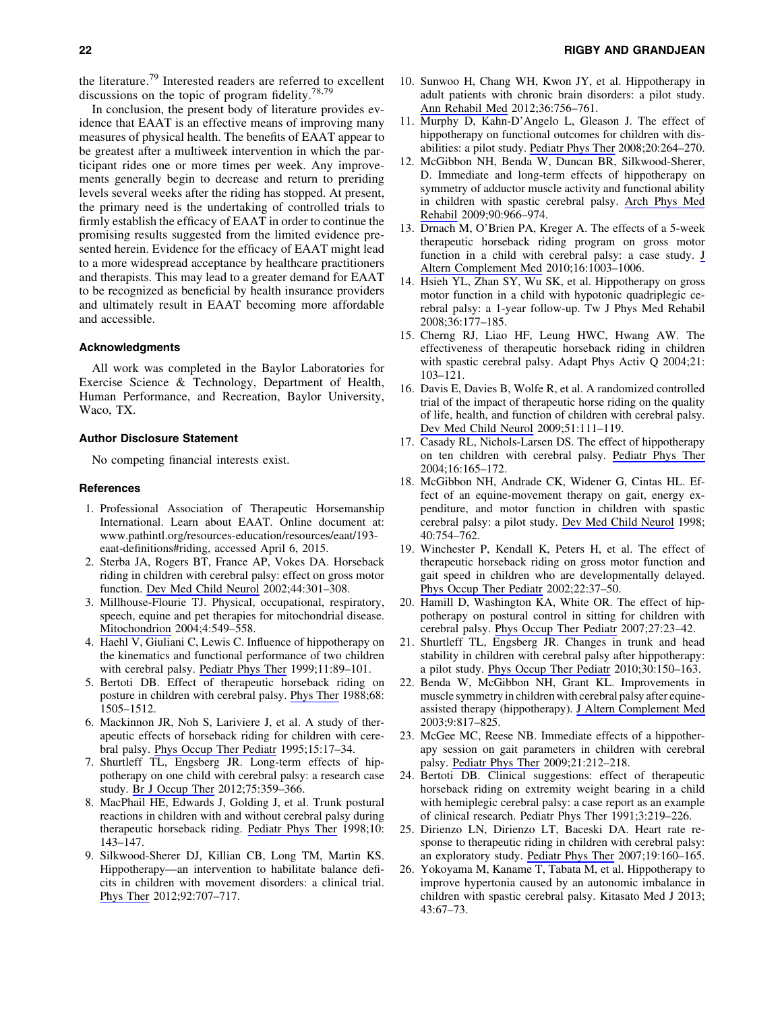the literature.<sup>79</sup> Interested readers are referred to excellent discussions on the topic of program fidelity. $78,79$ 

In conclusion, the present body of literature provides evidence that EAAT is an effective means of improving many measures of physical health. The benefits of EAAT appear to be greatest after a multiweek intervention in which the participant rides one or more times per week. Any improvements generally begin to decrease and return to preriding levels several weeks after the riding has stopped. At present, the primary need is the undertaking of controlled trials to firmly establish the efficacy of EAAT in order to continue the promising results suggested from the limited evidence presented herein. Evidence for the efficacy of EAAT might lead to a more widespread acceptance by healthcare practitioners and therapists. This may lead to a greater demand for EAAT to be recognized as beneficial by health insurance providers and ultimately result in EAAT becoming more affordable and accessible.

## Acknowledgments

All work was completed in the Baylor Laboratories for Exercise Science & Technology, Department of Health, Human Performance, and Recreation, Baylor University, Waco, TX.

## Author Disclosure Statement

No competing financial interests exist.

## References

- 1. Professional Association of Therapeutic Horsemanship International. Learn about EAAT. Online document at: www.pathintl.org/resources-education/resources/eaat/193 eaat-definitions#riding, accessed April 6, 2015.
- 2. Sterba JA, Rogers BT, France AP, Vokes DA. Horseback riding in children with cerebral palsy: effect on gross motor function. [Dev Med Child Neurol](http://online.liebertpub.com/action/showLinks?pmid=12033715&crossref=10.1111%2Fj.1469-8749.2002.tb00815.x) 2002;44:301–308.
- 3. Millhouse-Flourie TJ. Physical, occupational, respiratory, speech, equine and pet therapies for mitochondrial disease. [Mitochondrion](http://online.liebertpub.com/action/showLinks?pmid=16120413&crossref=10.1016%2Fj.mito.2004.07.013) 2004;4:549–558.
- 4. Haehl V, Giuliani C, Lewis C. Influence of hippotherapy on the kinematics and functional performance of two children with cerebral palsy. [Pediatr Phys Ther](http://online.liebertpub.com/action/showLinks?crossref=10.1097%2F00001577-199901120-00006) 1999;11:89–101.
- 5. Bertoti DB. Effect of therapeutic horseback riding on posture in children with cerebral palsy. [Phys Ther](http://online.liebertpub.com/action/showLinks?pmid=3174832) 1988;68: 1505–1512.
- 6. Mackinnon JR, Noh S, Lariviere J, et al. A study of therapeutic effects of horseback riding for children with cerebral palsy. [Phys Occup Ther Pediatr](http://online.liebertpub.com/action/showLinks?pmid=21275622&crossref=10.1080%2FJ006v15n01_02) 1995;15:17–34.
- 7. Shurtleff TL, Engsberg JR. Long-term effects of hippotherapy on one child with cerebral palsy: a research case study. [Br J Occup Ther](http://online.liebertpub.com/action/showLinks?crossref=10.4276%2F030802212X13433105374279) 2012;75:359–366.
- 8. MacPhail HE, Edwards J, Golding J, et al. Trunk postural reactions in children with and without cerebral palsy during therapeutic horseback riding. [Pediatr Phys Ther](http://online.liebertpub.com/action/showLinks?crossref=10.1097%2F00001577-199801040-00002) 1998;10: 143–147.
- 9. Silkwood-Sherer DJ, Killian CB, Long TM, Martin KS. Hippotherapy—an intervention to habilitate balance deficits in children with movement disorders: a clinical trial. [Phys Ther](http://online.liebertpub.com/action/showLinks?pmid=22247403&crossref=10.2522%2Fptj.20110081) 2012;92:707–717.
- 10. Sunwoo H, Chang WH, Kwon JY, et al. Hippotherapy in adult patients with chronic brain disorders: a pilot study. [Ann Rehabil Med](http://online.liebertpub.com/action/showLinks?pmid=23342306&crossref=10.5535%2Farm.2012.36.6.756) 2012;36:756–761.
- 11. Murphy D, Kahn-D'Angelo L, Gleason J. The effect of hippotherapy on functional outcomes for children with disabilities: a pilot study. [Pediatr Phys Ther](http://online.liebertpub.com/action/showLinks?pmid=18703965&crossref=10.1097%2FPEP.0b013e31818256cd) 2008;20:264–270.
- 12. McGibbon NH, Benda W, Duncan BR, Silkwood-Sherer, D. Immediate and long-term effects of hippotherapy on symmetry of adductor muscle activity and functional ability in children with spastic cerebral palsy. [Arch Phys Med](http://online.liebertpub.com/action/showLinks?pmid=19480872&crossref=10.1016%2Fj.apmr.2009.01.011) [Rehabil](http://online.liebertpub.com/action/showLinks?pmid=19480872&crossref=10.1016%2Fj.apmr.2009.01.011) 2009;90:966–974.
- 13. Drnach M, O'Brien PA, Kreger A. The effects of a 5-week therapeutic horseback riding program on gross motor function in a child with cerebral palsy: a case study. [J](http://online.liebertpub.com/action/showLinks?system=10.1089%2Facm.2010.0043) [Altern Complement Med](http://online.liebertpub.com/action/showLinks?system=10.1089%2Facm.2010.0043) 2010;16:1003–1006.
- 14. Hsieh YL, Zhan SY, Wu SK, et al. Hippotherapy on gross motor function in a child with hypotonic quadriplegic cerebral palsy: a 1-year follow-up. Tw J Phys Med Rehabil 2008;36:177–185.
- 15. Cherng RJ, Liao HF, Leung HWC, Hwang AW. The effectiveness of therapeutic horseback riding in children with spastic cerebral palsy. Adapt Phys Activ Q 2004;21: 103–121.
- 16. Davis E, Davies B, Wolfe R, et al. A randomized controlled trial of the impact of therapeutic horse riding on the quality of life, health, and function of children with cerebral palsy. [Dev Med Child Neurol](http://online.liebertpub.com/action/showLinks?pmid=19191844&crossref=10.1111%2Fj.1469-8749.2008.03245.x) 2009;51:111–119.
- 17. Casady RL, Nichols-Larsen DS. The effect of hippotherapy on ten children with cerebral palsy. [Pediatr Phys Ther](http://online.liebertpub.com/action/showLinks?pmid=17057544&crossref=10.1097%2F01.PEP.0000136003.15233.0C) 2004;16:165–172.
- 18. McGibbon NH, Andrade CK, Widener G, Cintas HL. Effect of an equine-movement therapy on gait, energy expenditure, and motor function in children with spastic cerebral palsy: a pilot study. [Dev Med Child Neurol](http://online.liebertpub.com/action/showLinks?pmid=9881805&crossref=10.1111%2Fj.1469-8749.1998.tb12344.x) 1998; 40:754–762.
- 19. Winchester P, Kendall K, Peters H, et al. The effect of therapeutic horseback riding on gross motor function and gait speed in children who are developmentally delayed. [Phys Occup Ther Pediatr](http://online.liebertpub.com/action/showLinks?pmid=12506820&crossref=10.1080%2FJ006v22n03_04) 2002;22:37–50.
- 20. Hamill D, Washington KA, White OR. The effect of hippotherapy on postural control in sitting for children with cerebral palsy. [Phys Occup Ther Pediatr](http://online.liebertpub.com/action/showLinks?pmid=18032148&crossref=10.1080%2FJ006v27n04_03) 2007;27:23–42.
- 21. Shurtleff TL, Engsberg JR. Changes in trunk and head stability in children with cerebral palsy after hippotherapy: a pilot study. [Phys Occup Ther Pediatr](http://online.liebertpub.com/action/showLinks?pmid=20367519&crossref=10.3109%2F01942630903517223) 2010;30:150–163.
- 22. Benda W, McGibbon NH, Grant KL. Improvements in muscle symmetry in children with cerebral palsy after equineassisted therapy (hippotherapy). [J Altern Complement Med](http://online.liebertpub.com/action/showLinks?system=10.1089%2F107555303771952163) 2003;9:817–825.
- 23. McGee MC, Reese NB. Immediate effects of a hippotherapy session on gait parameters in children with cerebral palsy. [Pediatr Phys Ther](http://online.liebertpub.com/action/showLinks?pmid=19440132&crossref=10.1097%2FPEP.0b013e3181a39532) 2009;21:212–218.
- 24. Bertoti DB. Clinical suggestions: effect of therapeutic horseback riding on extremity weight bearing in a child with hemiplegic cerebral palsy: a case report as an example of clinical research. Pediatr Phys Ther 1991;3:219–226.
- 25. Dirienzo LN, Dirienzo LT, Baceski DA. Heart rate response to therapeutic riding in children with cerebral palsy: an exploratory study. [Pediatr Phys Ther](http://online.liebertpub.com/action/showLinks?pmid=17505294&crossref=10.1097%2FPEP.0b013e31804a57a8) 2007;19:160–165.
- 26. Yokoyama M, Kaname T, Tabata M, et al. Hippotherapy to improve hypertonia caused by an autonomic imbalance in children with spastic cerebral palsy. Kitasato Med J 2013; 43:67–73.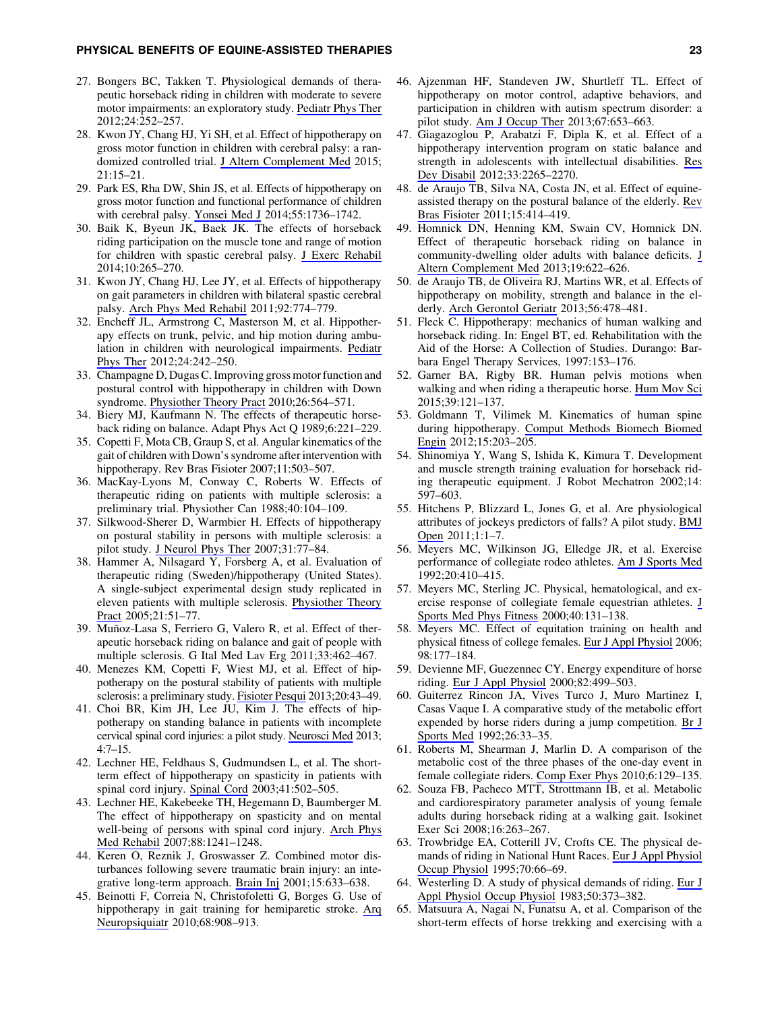#### PHYSICAL BENEFITS OF EQUINE-ASSISTED THERAPIES 23

- 27. Bongers BC, Takken T. Physiological demands of therapeutic horseback riding in children with moderate to severe motor impairments: an exploratory study. [Pediatr Phys Ther](http://online.liebertpub.com/action/showLinks?pmid=22735475&crossref=10.1097%2FPEP.0b013e31825c1a7d) 2012;24:252–257.
- 28. Kwon JY, Chang HJ, Yi SH, et al. Effect of hippotherapy on gross motor function in children with cerebral palsy: a randomized controlled trial. [J Altern Complement Med](http://online.liebertpub.com/action/showLinks?system=10.1089%2Facm.2014.0021) 2015; 21:15–21.
- 29. Park ES, Rha DW, Shin JS, et al. Effects of hippotherapy on gross motor function and functional performance of children with cerebral palsy. [Yonsei Med J](http://online.liebertpub.com/action/showLinks?pmid=25323914&crossref=10.3349%2Fymj.2014.55.6.1736) 2014;55:1736–1742.
- 30. Baik K, Byeun JK, Baek JK. The effects of horseback riding participation on the muscle tone and range of motion for children with spastic cerebral palsy. [J Exerc Rehabil](http://online.liebertpub.com/action/showLinks?pmid=25426462&crossref=10.12965%2Fjer.140124) 2014;10:265–270.
- 31. Kwon JY, Chang HJ, Lee JY, et al. Effects of hippotherapy on gait parameters in children with bilateral spastic cerebral palsy. [Arch Phys Med Rehabil](http://online.liebertpub.com/action/showLinks?pmid=21530725&crossref=10.1016%2Fj.apmr.2010.11.031) 2011;92:774–779.
- 32. Encheff JL, Armstrong C, Masterson M, et al. Hippotherapy effects on trunk, pelvic, and hip motion during ambulation in children with neurological impairments. [Pediatr](http://online.liebertpub.com/action/showLinks?pmid=22735473&crossref=10.1097%2FPEP.0b013e31825c1dc3) [Phys Ther](http://online.liebertpub.com/action/showLinks?pmid=22735473&crossref=10.1097%2FPEP.0b013e31825c1dc3) 2012;24:242–250.
- 33. Champagne D, Dugas C. Improving gross motor function and postural control with hippotherapy in children with Down syndrome. [Physiother Theory Pract](http://online.liebertpub.com/action/showLinks?pmid=20673078&crossref=10.3109%2F09593981003623659) 2010;26:564–571.
- 34. Biery MJ, Kaufmann N. The effects of therapeutic horseback riding on balance. Adapt Phys Act Q 1989;6:221–229.
- 35. Copetti F, Mota CB, Graup S, et al. Angular kinematics of the gait of children with Down's syndrome after intervention with hippotherapy. Rev Bras Fisioter 2007;11:503-507.
- 36. MacKay-Lyons M, Conway C, Roberts W. Effects of therapeutic riding on patients with multiple sclerosis: a preliminary trial. Physiother Can 1988;40:104–109.
- 37. Silkwood-Sherer D, Warmbier H. Effects of hippotherapy on postural stability in persons with multiple sclerosis: a pilot study. [J Neurol Phys Ther](http://online.liebertpub.com/action/showLinks?pmid=17558361&crossref=10.1097%2FNPT.0b013e31806769f7) 2007;31:77–84.
- 38. Hammer A, Nilsagard Y, Forsberg A, et al. Evaluation of therapeutic riding (Sweden)/hippotherapy (United States). A single-subject experimental design study replicated in eleven patients with multiple sclerosis. [Physiother Theory](http://online.liebertpub.com/action/showLinks?pmid=16385943&crossref=10.1080%2F09593980590911525) [Pract](http://online.liebertpub.com/action/showLinks?pmid=16385943&crossref=10.1080%2F09593980590911525) 2005;21:51–77.
- 39. Muñoz-Lasa S, Ferriero G, Valero R, et al. Effect of therapeutic horseback riding on balance and gait of people with multiple sclerosis. G Ital Med Lav Erg 2011;33:462–467.
- 40. Menezes KM, Copetti F, Wiest MJ, et al. Effect of hippotherapy on the postural stability of patients with multiple sclerosis: a preliminary study. [Fisioter Pesqui](http://online.liebertpub.com/action/showLinks?crossref=10.1590%2FS1809-29502013000100008) 2013;20:43–49.
- 41. Choi BR, Kim JH, Lee JU, Kim J. The effects of hippotherapy on standing balance in patients with incomplete cervical spinal cord injuries: a pilot study. [Neurosci Med](http://online.liebertpub.com/action/showLinks?crossref=10.4236%2Fnm.2013.41002) 2013;  $4:7-15.$
- 42. Lechner HE, Feldhaus S, Gudmundsen L, et al. The shortterm effect of hippotherapy on spasticity in patients with spinal cord injury. [Spinal Cord](http://online.liebertpub.com/action/showLinks?pmid=12934090&crossref=10.1038%2Fsj.sc.3101492) 2003;41:502–505.
- 43. Lechner HE, Kakebeeke TH, Hegemann D, Baumberger M. The effect of hippotherapy on spasticity and on mental well-being of persons with spinal cord injury. [Arch Phys](http://online.liebertpub.com/action/showLinks?pmid=17908564&crossref=10.1016%2Fj.apmr.2007.07.015) [Med Rehabil](http://online.liebertpub.com/action/showLinks?pmid=17908564&crossref=10.1016%2Fj.apmr.2007.07.015) 2007;88:1241–1248.
- 44. Keren O, Reznik J, Groswasser Z. Combined motor disturbances following severe traumatic brain injury: an integrative long-term approach. [Brain Inj](http://online.liebertpub.com/action/showLinks?pmid=11429091&crossref=10.1080%2F02699050010009568) 2001;15:633–638.
- 45. Beinotti F, Correia N, Christofoletti G, Borges G. Use of hippotherapy in gait training for hemiparetic stroke. [Arq](http://online.liebertpub.com/action/showLinks?pmid=21243251&crossref=10.1590%2FS0004-282X2010000600015) [Neuropsiquiatr](http://online.liebertpub.com/action/showLinks?pmid=21243251&crossref=10.1590%2FS0004-282X2010000600015) 2010;68:908–913.
- 46. Ajzenman HF, Standeven JW, Shurtleff TL. Effect of hippotherapy on motor control, adaptive behaviors, and participation in children with autism spectrum disorder: a pilot study. [Am J Occup Ther](http://online.liebertpub.com/action/showLinks?pmid=24195899&crossref=10.5014%2Fajot.2013.008383) 2013;67:653–663.
- 47. Giagazoglou P, Arabatzi F, Dipla K, et al. Effect of a hippotherapy intervention program on static balance and strength in adolescents with intellectual disabilities. [Res](http://online.liebertpub.com/action/showLinks?pmid=22853887&crossref=10.1016%2Fj.ridd.2012.07.004) [Dev Disabil](http://online.liebertpub.com/action/showLinks?pmid=22853887&crossref=10.1016%2Fj.ridd.2012.07.004) 2012;33:2265–2270.
- 48. de Araujo TB, Silva NA, Costa JN, et al. Effect of equineassisted therapy on the postural balance of the elderly. [Rev](http://online.liebertpub.com/action/showLinks?pmid=22002189&crossref=10.1590%2FS1413-35552011005000027) [Bras Fisioter](http://online.liebertpub.com/action/showLinks?pmid=22002189&crossref=10.1590%2FS1413-35552011005000027) 2011;15:414–419.
- 49. Homnick DN, Henning KM, Swain CV, Homnick DN. Effect of therapeutic horseback riding on balance in community-dwelling older adults with balance deficits. [J](http://online.liebertpub.com/action/showLinks?system=10.1089%2Facm.2012.0642) [Altern Complement Med](http://online.liebertpub.com/action/showLinks?system=10.1089%2Facm.2012.0642) 2013;19:622–626.
- 50. de Araujo TB, de Oliveira RJ, Martins WR, et al. Effects of hippotherapy on mobility, strength and balance in the elderly. [Arch Gerontol Geriatr](http://online.liebertpub.com/action/showLinks?pmid=23290005&crossref=10.1016%2Fj.archger.2012.12.007) 2013;56:478–481.
- 51. Fleck C. Hippotherapy: mechanics of human walking and horseback riding. In: Engel BT, ed. Rehabilitation with the Aid of the Horse: A Collection of Studies. Durango: Barbara Engel Therapy Services, 1997:153–176.
- 52. Garner BA, Rigby BR. Human pelvis motions when walking and when riding a therapeutic horse. [Hum Mov Sci](http://online.liebertpub.com/action/showLinks?pmid=25436916&crossref=10.1016%2Fj.humov.2014.06.011) 2015;39:121–137.
- 53. Goldmann T, Vilimek M. Kinematics of human spine during hippotherapy. [Comput Methods Biomech Biomed](http://online.liebertpub.com/action/showLinks?pmid=23009479&crossref=10.1080%2F10255842.2012.713619) [Engin](http://online.liebertpub.com/action/showLinks?pmid=23009479&crossref=10.1080%2F10255842.2012.713619) 2012;15:203–205.
- 54. Shinomiya Y, Wang S, Ishida K, Kimura T. Development and muscle strength training evaluation for horseback riding therapeutic equipment. J Robot Mechatron 2002;14: 597–603.
- 55. Hitchens P, Blizzard L, Jones G, et al. Are physiological attributes of jockeys predictors of falls? A pilot study. [BMJ](http://online.liebertpub.com/action/showLinks?crossref=10.1136%2Fbmjopen-2011-000142) [Open](http://online.liebertpub.com/action/showLinks?crossref=10.1136%2Fbmjopen-2011-000142) 2011;1:1–7.
- 56. Meyers MC, Wilkinson JG, Elledge JR, et al. Exercise performance of collegiate rodeo athletes. [Am J Sports Med](http://online.liebertpub.com/action/showLinks?pmid=1415883&crossref=10.1177%2F036354659202000408) 1992;20:410–415.
- 57. Meyers MC, Sterling JC. Physical, hematological, and exercise response of collegiate female equestrian athletes. [J](http://online.liebertpub.com/action/showLinks?pmid=11034433) [Sports Med Phys Fitness](http://online.liebertpub.com/action/showLinks?pmid=11034433) 2000;40:131–138.
- 58. Meyers MC. Effect of equitation training on health and physical fitness of college females. [Eur J Appl Physiol](http://online.liebertpub.com/action/showLinks?pmid=16896731&crossref=10.1007%2Fs00421-006-0258-x) 2006; 98:177–184.
- 59. Devienne MF, Guezennec CY. Energy expenditure of horse riding. [Eur J Appl Physiol](http://online.liebertpub.com/action/showLinks?pmid=10985607&crossref=10.1007%2Fs004210000207) 2000;82:499–503.
- 60. Guiterrez Rincon JA, Vives Turco J, Muro Martinez I, Casas Vaque I. A comparative study of the metabolic effort expended by horse riders during a jump competition. [Br J](http://online.liebertpub.com/action/showLinks?pmid=1600451&crossref=10.1136%2Fbjsm.26.1.33) [Sports Med](http://online.liebertpub.com/action/showLinks?pmid=1600451&crossref=10.1136%2Fbjsm.26.1.33) 1992;26:33–35.
- 61. Roberts M, Shearman J, Marlin D. A comparison of the metabolic cost of the three phases of the one-day event in female collegiate riders. [Comp Exer Phys](http://online.liebertpub.com/action/showLinks?crossref=10.1017%2FS1755254010000012) 2010;6:129–135.
- 62. Souza FB, Pacheco MTT, Strottmann IB, et al. Metabolic and cardiorespiratory parameter analysis of young female adults during horseback riding at a walking gait. Isokinet Exer Sci 2008;16:263–267.
- 63. Trowbridge EA, Cotterill JV, Crofts CE. The physical demands of riding in National Hunt Races. [Eur J Appl Physiol](http://online.liebertpub.com/action/showLinks?pmid=7729441&crossref=10.1007%2FBF00601810) [Occup Physiol](http://online.liebertpub.com/action/showLinks?pmid=7729441&crossref=10.1007%2FBF00601810) 1995;70:66–69.
- 64. Westerling D. A study of physical demands of riding. [Eur J](http://online.liebertpub.com/action/showLinks?pmid=6683161&crossref=10.1007%2FBF00423243) [Appl Physiol Occup Physiol](http://online.liebertpub.com/action/showLinks?pmid=6683161&crossref=10.1007%2FBF00423243) 1983;50:373–382.
- 65. Matsuura A, Nagai N, Funatsu A, et al. Comparison of the short-term effects of horse trekking and exercising with a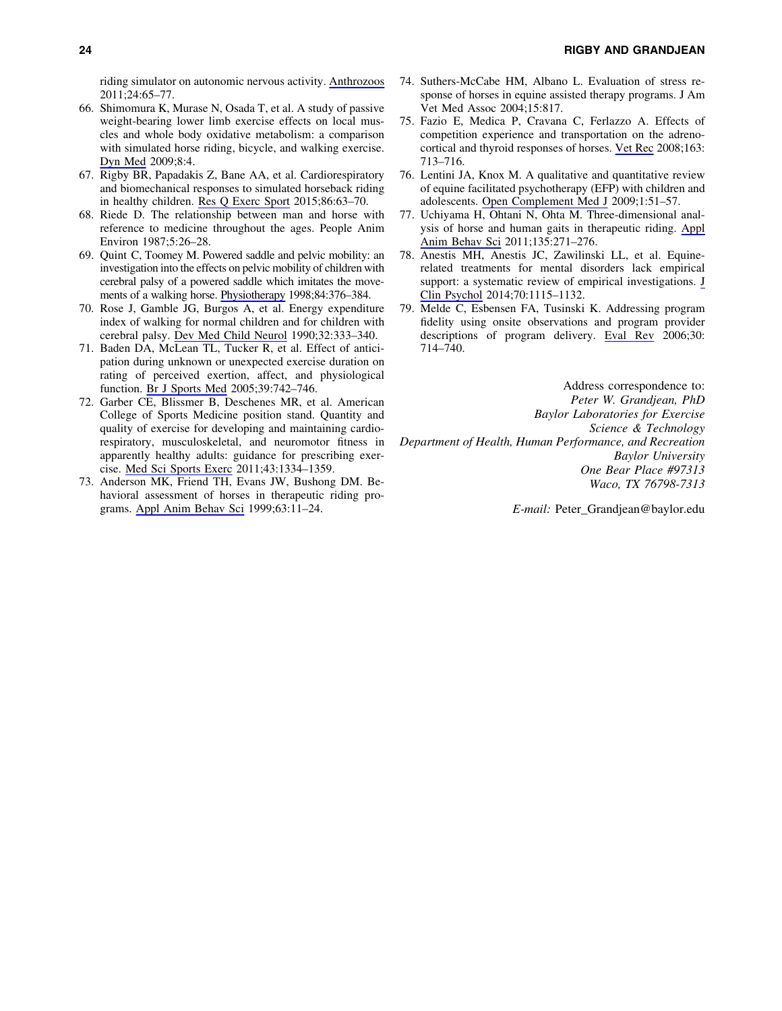riding simulator on autonomic nervous activity. [Anthrozoos](http://online.liebertpub.com/action/showLinks?crossref=10.2752%2F175303711X12923300467401) 2011;24:65–77.

- 66. Shimomura K, Murase N, Osada T, et al. A study of passive weight-bearing lower limb exercise effects on local muscles and whole body oxidative metabolism: a comparison with simulated horse riding, bicycle, and walking exercise. [Dyn Med](http://online.liebertpub.com/action/showLinks?pmid=19900292&crossref=10.1186%2F1476-5918-8-4) 2009;8:4.
- 67. Rigby BR, Papadakis Z, Bane AA, et al. Cardiorespiratory and biomechanical responses to simulated horseback riding in healthy children. [Res Q Exerc Sport](http://online.liebertpub.com/action/showLinks?pmid=25437748&crossref=10.1080%2F02701367.2014.977432) 2015;86:63–70.
- 68. Riede D. The relationship between man and horse with reference to medicine throughout the ages. People Anim Environ 1987;5:26–28.
- 69. Quint C, Toomey M. Powered saddle and pelvic mobility: an investigation into the effects on pelvic mobility of children with cerebral palsy of a powered saddle which imitates the movements of a walking horse. [Physiotherapy](http://online.liebertpub.com/action/showLinks?crossref=10.1016%2FS0031-9406%2805%2961458-7) 1998;84:376–384.
- 70. Rose J, Gamble JG, Burgos A, et al. Energy expenditure index of walking for normal children and for children with cerebral palsy. [Dev Med Child Neurol](http://online.liebertpub.com/action/showLinks?pmid=2332124&crossref=10.1111%2Fj.1469-8749.1990.tb16945.x) 1990;32:333–340.
- 71. Baden DA, McLean TL, Tucker R, et al. Effect of anticipation during unknown or unexpected exercise duration on rating of perceived exertion, affect, and physiological function. [Br J Sports Med](http://online.liebertpub.com/action/showLinks?pmid=16183771&crossref=10.1136%2Fbjsm.2004.016980) 2005;39:742–746.
- 72. Garber CE, Blissmer B, Deschenes MR, et al. American College of Sports Medicine position stand. Quantity and quality of exercise for developing and maintaining cardiorespiratory, musculoskeletal, and neuromotor fitness in apparently healthy adults: guidance for prescribing exercise. [Med Sci Sports Exerc](http://online.liebertpub.com/action/showLinks?pmid=21694556&crossref=10.1249%2FMSS.0b013e318213fefb) 2011;43:1334–1359.
- 73. Anderson MK, Friend TH, Evans JW, Bushong DM. Behavioral assessment of horses in therapeutic riding programs. [Appl Anim Behav Sci](http://online.liebertpub.com/action/showLinks?crossref=10.1016%2FS0168-1591%2898%2900237-8) 1999;63:11–24.
- 74. Suthers-McCabe HM, Albano L. Evaluation of stress response of horses in equine assisted therapy programs. J Am Vet Med Assoc 2004;15:817.
- 75. Fazio E, Medica P, Cravana C, Ferlazzo A. Effects of competition experience and transportation on the adrenocortical and thyroid responses of horses. [Vet Rec](http://online.liebertpub.com/action/showLinks?pmid=19074788&crossref=10.1136%2Fvr.163.24.713) 2008;163: 713–716.
- 76. Lentini JA, Knox M. A qualitative and quantitative review of equine facilitated psychotherapy (EFP) with children and adolescents. [Open Complement Med J](http://online.liebertpub.com/action/showLinks?crossref=10.2174%2F1876391X00901010051) 2009;1:51–57.
- 77. Uchiyama H, Ohtani N, Ohta M. Three-dimensional analysis of horse and human gaits in therapeutic riding. [Appl](http://online.liebertpub.com/action/showLinks?crossref=10.1016%2Fj.applanim.2011.10.024) [Anim Behav Sci](http://online.liebertpub.com/action/showLinks?crossref=10.1016%2Fj.applanim.2011.10.024) 2011;135:271–276.
- 78. Anestis MH, Anestis JC, Zawilinski LL, et al. Equinerelated treatments for mental disorders lack empirical support: a systematic review of empirical investigations. [J](http://online.liebertpub.com/action/showLinks?pmid=24953870&crossref=10.1002%2Fjclp.22113) [Clin Psychol](http://online.liebertpub.com/action/showLinks?pmid=24953870&crossref=10.1002%2Fjclp.22113) 2014;70:1115–1132.
- 79. Melde C, Esbensen FA, Tusinski K. Addressing program fidelity using onsite observations and program provider descriptions of program delivery. [Eval Rev](http://online.liebertpub.com/action/showLinks?pmid=17093106&crossref=10.1177%2F0193841X06293412) 2006;30: 714–740.

Address correspondence to: *Peter W. Grandjean, PhD Baylor Laboratories for Exercise Science & Technology Department of Health, Human Performance, and Recreation Baylor University One Bear Place #97313 Waco, TX 76798-7313*

*E-mail:* Peter\_Grandjean@baylor.edu